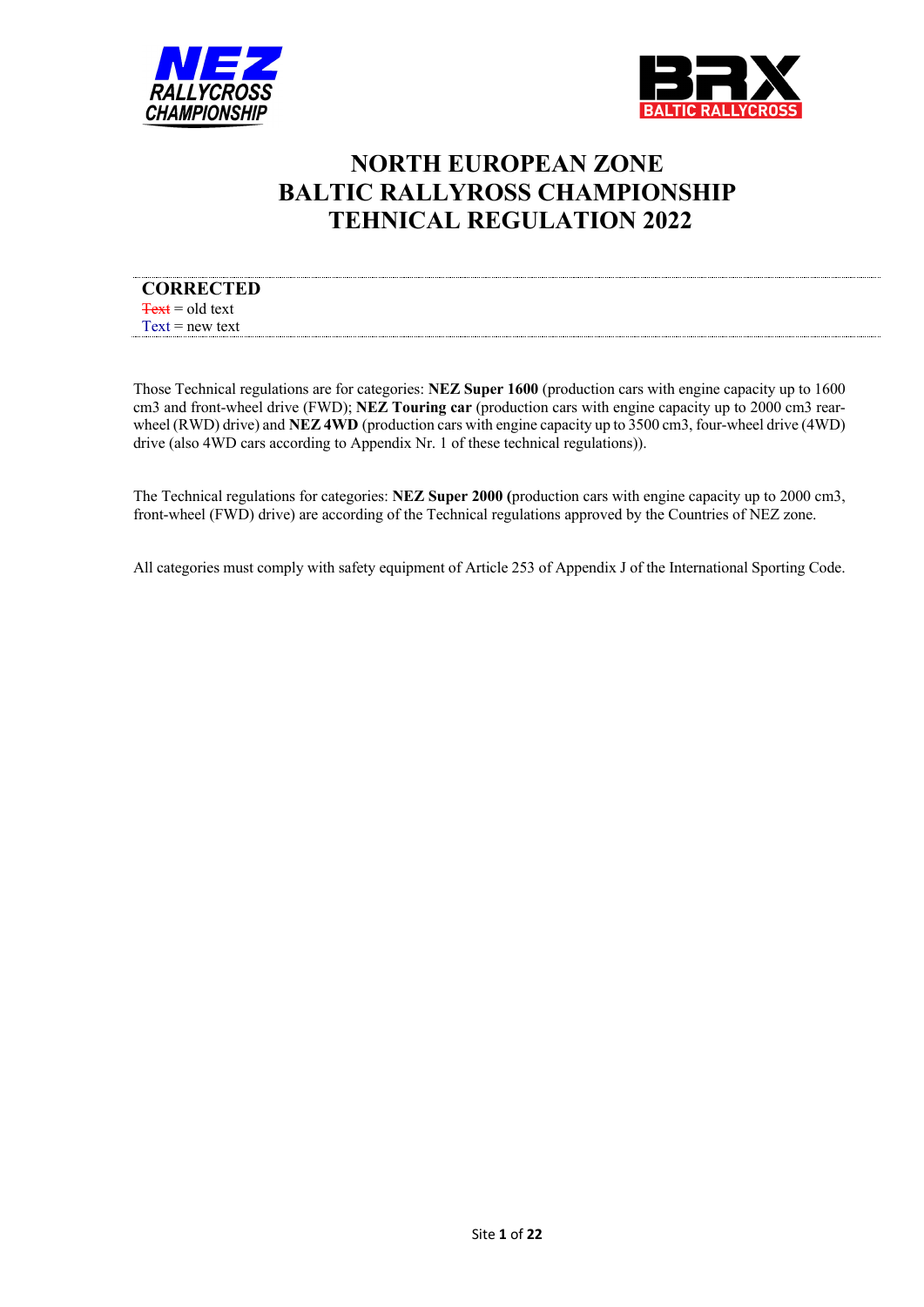



# **NORTH EUROPEAN ZONE BALTIC RALLYROSS CHAMPIONSHIP TEHNICAL REGULATION 2022**

| <b>CORRECTED</b>                     |  |
|--------------------------------------|--|
| $\frac{1}{\sqrt{2}}$ Text = old text |  |
| $Text = new text$                    |  |

Those Technical regulations are for categories: **NEZ Super 1600** (production cars with engine capacity up to 1600 cm3 and front-wheel drive (FWD); **NEZ Touring car** (production cars with engine capacity up to 2000 cm3 rearwheel (RWD) drive) and **NEZ 4WD** (production cars with engine capacity up to 3500 cm3, four-wheel drive (4WD) drive (also 4WD cars according to Appendix Nr. 1 of these technical regulations)).

The Technical regulations for categories: **NEZ Super 2000 (**production cars with engine capacity up to 2000 cm3, front-wheel (FWD) drive) are according of the Technical regulations approved by the Countries of NEZ zone.

All categories must comply with safety equipment of Article 253 of Appendix J of the International Sporting Code.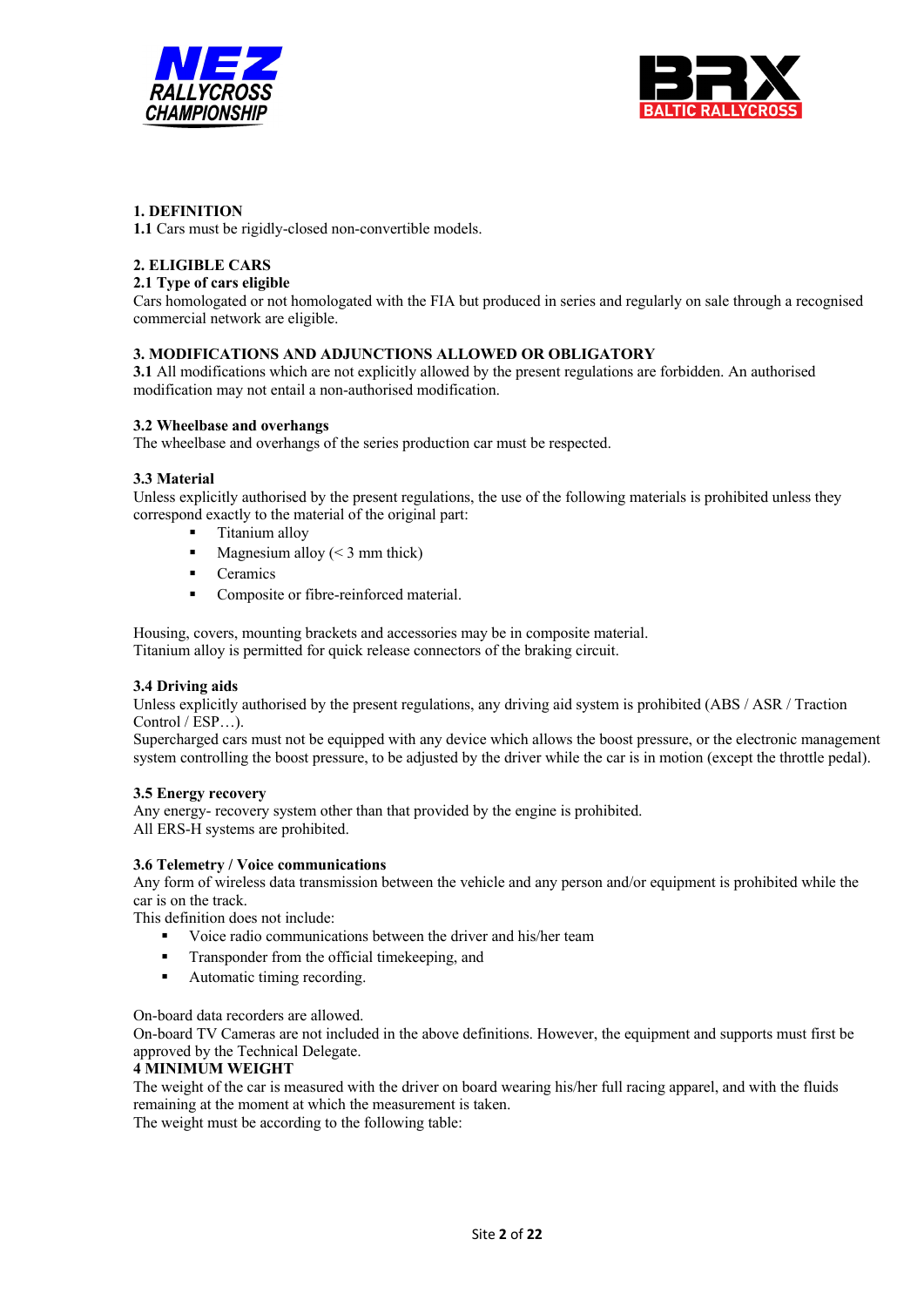



## **1. DEFINITION**

**1.1** Cars must be rigidly-closed non-convertible models.

## **2. ELIGIBLE CARS**

## **2.1 Type of cars eligible**

Cars homologated or not homologated with the FIA but produced in series and regularly on sale through a recognised commercial network are eligible.

#### **3. MODIFICATIONS AND ADJUNCTIONS ALLOWED OR OBLIGATORY**

**3.1** All modifications which are not explicitly allowed by the present regulations are forbidden. An authorised modification may not entail a non-authorised modification.

#### **3.2 Wheelbase and overhangs**

The wheelbase and overhangs of the series production car must be respected.

#### **3.3 Material**

Unless explicitly authorised by the present regulations, the use of the following materials is prohibited unless they correspond exactly to the material of the original part:

- § Titanium alloy
- Magnesium alloy  $(< 3$  mm thick)
- Ceramics
- Composite or fibre-reinforced material.

Housing, covers, mounting brackets and accessories may be in composite material. Titanium alloy is permitted for quick release connectors of the braking circuit.

## **3.4 Driving aids**

Unless explicitly authorised by the present regulations, any driving aid system is prohibited (ABS / ASR / Traction Control / ESP…).

Supercharged cars must not be equipped with any device which allows the boost pressure, or the electronic management system controlling the boost pressure, to be adjusted by the driver while the car is in motion (except the throttle pedal).

#### **3.5 Energy recovery**

Any energy- recovery system other than that provided by the engine is prohibited. All ERS-H systems are prohibited.

#### **3.6 Telemetry / Voice communications**

Any form of wireless data transmission between the vehicle and any person and/or equipment is prohibited while the car is on the track.

This definition does not include:

- Voice radio communications between the driver and his/her team
- Transponder from the official timekeeping, and
- § Automatic timing recording.

On-board data recorders are allowed.

On-board TV Cameras are not included in the above definitions. However, the equipment and supports must first be approved by the Technical Delegate.

#### **4 MINIMUM WEIGHT**

The weight of the car is measured with the driver on board wearing his/her full racing apparel, and with the fluids remaining at the moment at which the measurement is taken.

The weight must be according to the following table: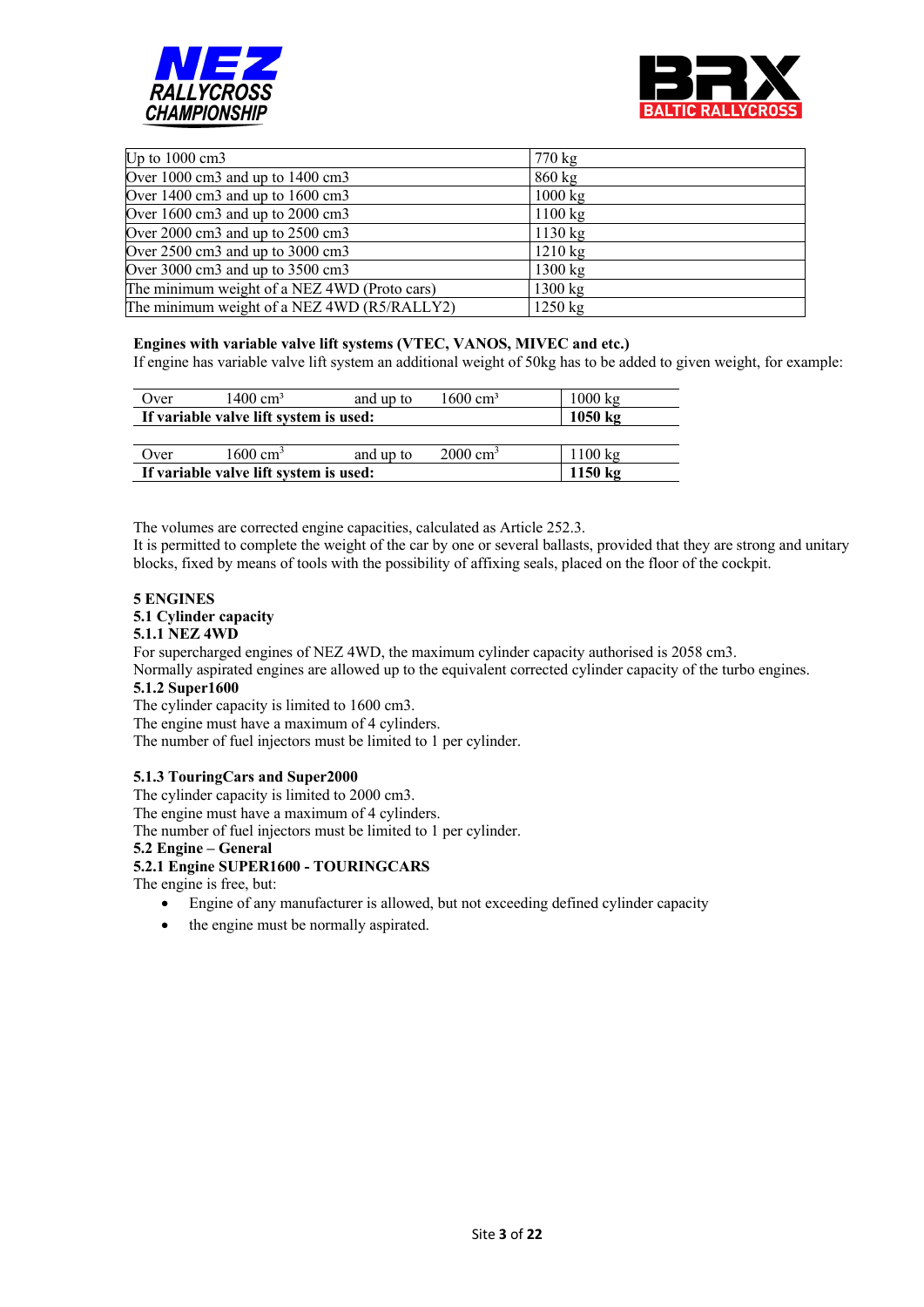



| Up to $1000 \text{ cm}$ 3                              | 770 kg            |
|--------------------------------------------------------|-------------------|
| Over 1000 cm3 and up to 1400 cm3                       | $860 \text{ kg}$  |
| Over $1400 \text{ cm}$ 3 and up to $1600 \text{ cm}$ 3 | $1000 \text{ kg}$ |
| Over $1600 \text{ cm}$ 3 and up to $2000 \text{ cm}$ 3 | $1100 \text{ kg}$ |
| Over 2000 cm3 and up to 2500 cm3                       | $1130 \text{ kg}$ |
| Over 2500 cm3 and up to 3000 cm3                       | $1210 \text{ kg}$ |
| Over 3000 cm3 and up to 3500 cm3                       | $1300 \text{ kg}$ |
| The minimum weight of a NEZ 4WD (Proto cars)           | $1300 \text{ kg}$ |
| The minimum weight of a NEZ 4WD (R5/RALLY2)            | $1250 \text{ kg}$ |

#### **Engines with variable valve lift systems (VTEC, VANOS, MIVEC and etc.)**

If engine has variable valve lift system an additional weight of 50kg has to be added to given weight, for example:

| (Over                                  | $1400 \text{ cm}^3$ | and up to | $1600 \text{ cm}^3$ | $1000 \text{ kg}$ |
|----------------------------------------|---------------------|-----------|---------------------|-------------------|
| If variable valve lift system is used: | $1050 \text{ kg}$   |           |                     |                   |
|                                        |                     |           |                     |                   |
| Over                                   | $1600 \text{ cm}^3$ | and up to | $2000 \text{ cm}^3$ | $1100 \text{ kg}$ |
| If variable valve lift system is used: |                     |           |                     | $1150 \text{ kg}$ |

The volumes are corrected engine capacities, calculated as Article 252.3.

It is permitted to complete the weight of the car by one or several ballasts, provided that they are strong and unitary blocks, fixed by means of tools with the possibility of affixing seals, placed on the floor of the cockpit.

#### **5 ENGINES 5.1 Cylinder capacity**

## **5.1.1 NEZ 4WD**

For supercharged engines of NEZ 4WD, the maximum cylinder capacity authorised is 2058 cm3.

Normally aspirated engines are allowed up to the equivalent corrected cylinder capacity of the turbo engines.

## **5.1.2 Super1600**

The cylinder capacity is limited to 1600 cm3.

The engine must have a maximum of 4 cylinders.

The number of fuel injectors must be limited to 1 per cylinder.

#### **5.1.3 TouringCars and Super2000**

The cylinder capacity is limited to 2000 cm3.

The engine must have a maximum of 4 cylinders.

The number of fuel injectors must be limited to 1 per cylinder.

#### **5.2 Engine – General**

#### **5.2.1 Engine SUPER1600 - TOURINGCARS**

The engine is free, but:

- Engine of any manufacturer is allowed, but not exceeding defined cylinder capacity
- the engine must be normally aspirated.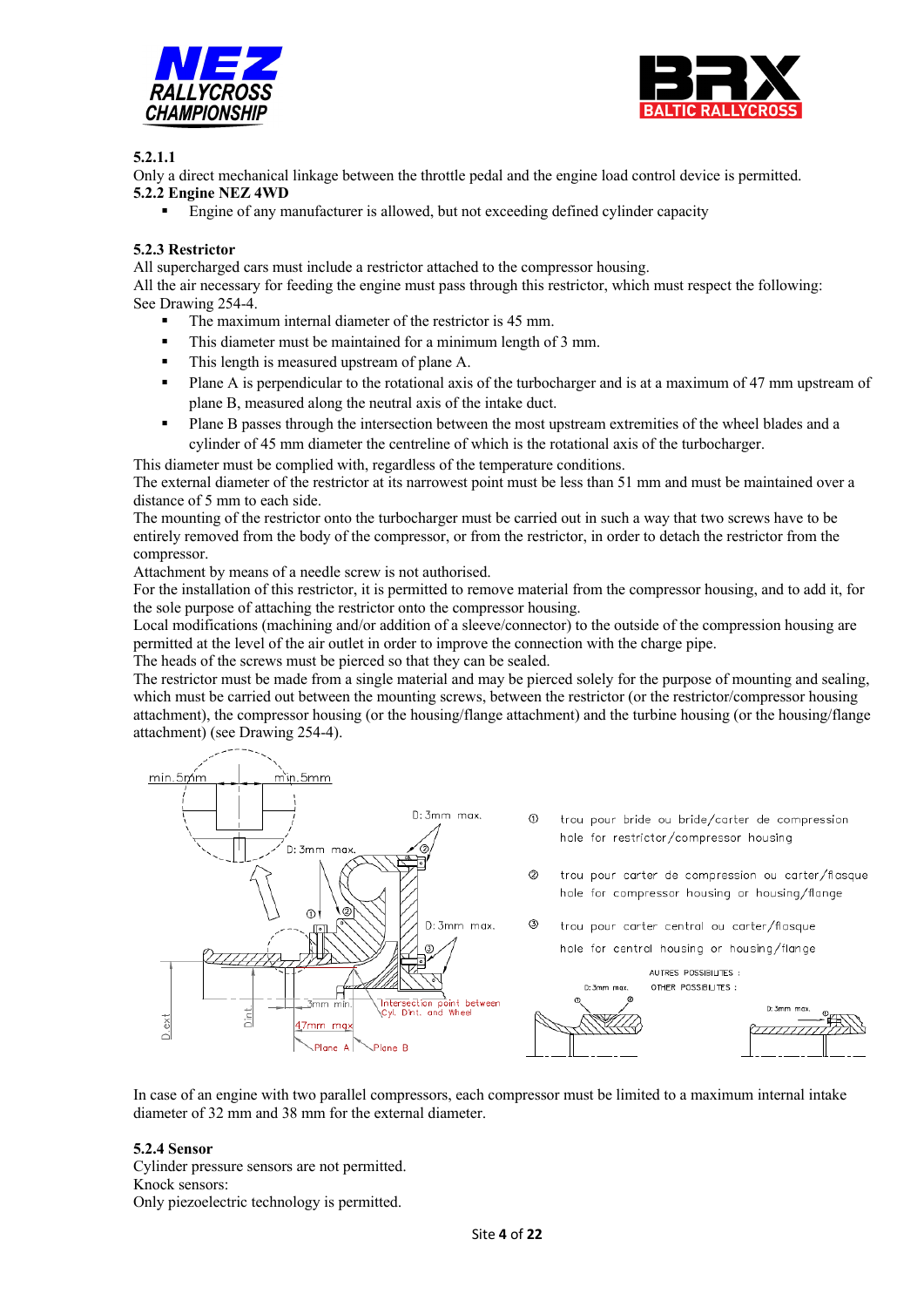



## **5.2.1.1**

Only a direct mechanical linkage between the throttle pedal and the engine load control device is permitted. **5.2.2 Engine NEZ 4WD**

Engine of any manufacturer is allowed, but not exceeding defined cylinder capacity

## **5.2.3 Restrictor**

All supercharged cars must include a restrictor attached to the compressor housing.

All the air necessary for feeding the engine must pass through this restrictor, which must respect the following: See Drawing 254-4.

- $\blacksquare$  The maximum internal diameter of the restrictor is 45 mm.
- This diameter must be maintained for a minimum length of 3 mm.
- This length is measured upstream of plane A.
- Plane A is perpendicular to the rotational axis of the turbocharger and is at a maximum of 47 mm upstream of plane B, measured along the neutral axis of the intake duct.
- Plane B passes through the intersection between the most upstream extremities of the wheel blades and a cylinder of 45 mm diameter the centreline of which is the rotational axis of the turbocharger.

This diameter must be complied with, regardless of the temperature conditions.

The external diameter of the restrictor at its narrowest point must be less than 51 mm and must be maintained over a distance of 5 mm to each side.

The mounting of the restrictor onto the turbocharger must be carried out in such a way that two screws have to be entirely removed from the body of the compressor, or from the restrictor, in order to detach the restrictor from the compressor.

Attachment by means of a needle screw is not authorised.

For the installation of this restrictor, it is permitted to remove material from the compressor housing, and to add it, for the sole purpose of attaching the restrictor onto the compressor housing.

Local modifications (machining and/or addition of a sleeve/connector) to the outside of the compression housing are permitted at the level of the air outlet in order to improve the connection with the charge pipe.

The heads of the screws must be pierced so that they can be sealed.

The restrictor must be made from a single material and may be pierced solely for the purpose of mounting and sealing, which must be carried out between the mounting screws, between the restrictor (or the restrictor/compressor housing attachment), the compressor housing (or the housing/flange attachment) and the turbine housing (or the housing/flange attachment) (see Drawing 254-4).



In case of an engine with two parallel compressors, each compressor must be limited to a maximum internal intake diameter of 32 mm and 38 mm for the external diameter.

#### **5.2.4 Sensor**

Cylinder pressure sensors are not permitted. Knock sensors: Only piezoelectric technology is permitted.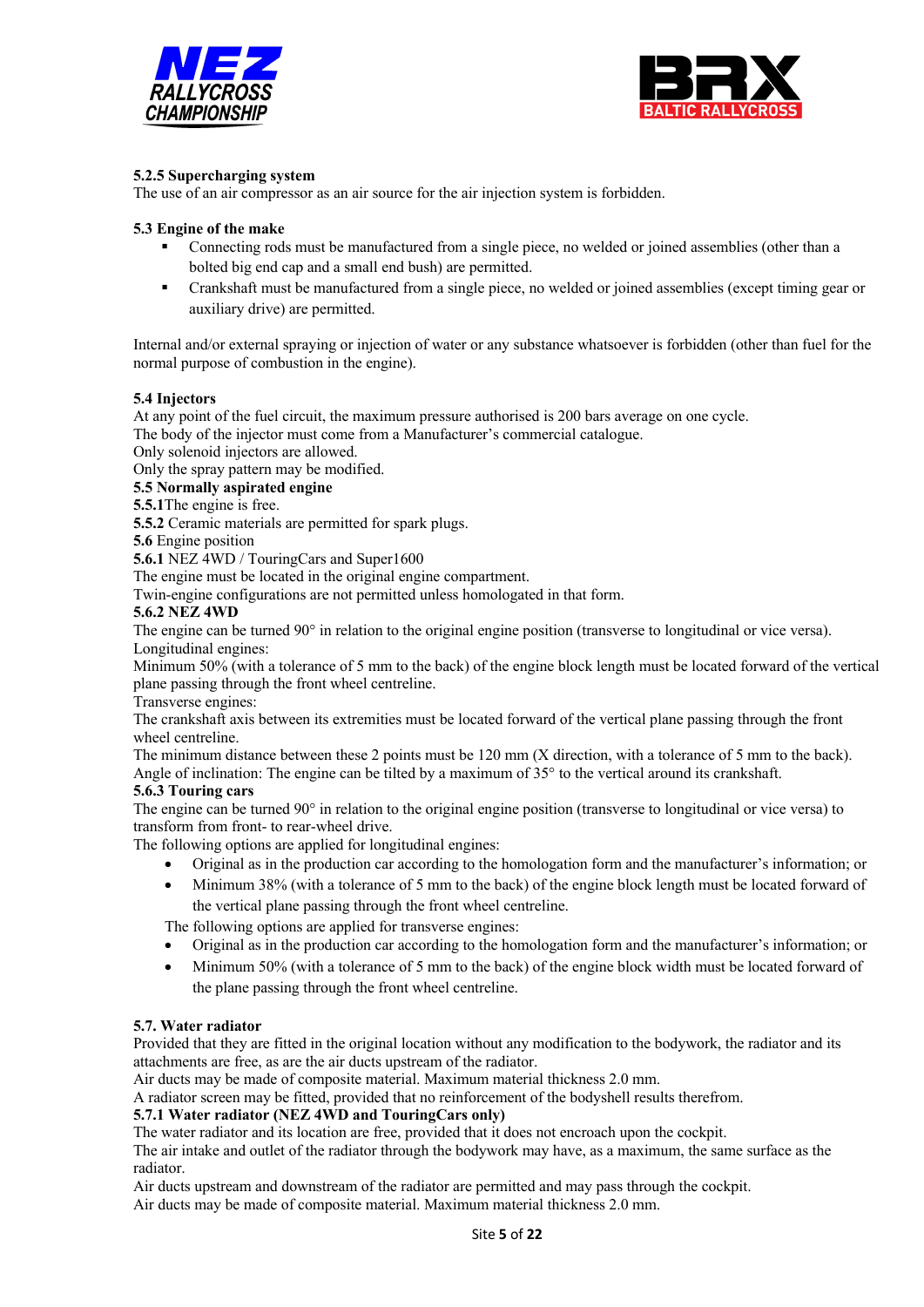



## **5.2.5 Supercharging system**

The use of an air compressor as an air source for the air injection system is forbidden.

#### **5.3 Engine of the make**

- § Connecting rods must be manufactured from a single piece, no welded or joined assemblies (other than a bolted big end cap and a small end bush) are permitted.
- § Crankshaft must be manufactured from a single piece, no welded or joined assemblies (except timing gear or auxiliary drive) are permitted.

Internal and/or external spraying or injection of water or any substance whatsoever is forbidden (other than fuel for the normal purpose of combustion in the engine).

#### **5.4 Injectors**

At any point of the fuel circuit, the maximum pressure authorised is 200 bars average on one cycle.

The body of the injector must come from a Manufacturer's commercial catalogue.

Only solenoid injectors are allowed.

Only the spray pattern may be modified.

**5.5 Normally aspirated engine** 

**5.5.1**The engine is free.

**5.5.2** Ceramic materials are permitted for spark plugs.

**5.6** Engine position

**5.6.1** NEZ 4WD / TouringCars and Super1600

The engine must be located in the original engine compartment.

Twin-engine configurations are not permitted unless homologated in that form.

#### **5.6.2 NEZ 4WD**

The engine can be turned 90° in relation to the original engine position (transverse to longitudinal or vice versa). Longitudinal engines:

Minimum 50% (with a tolerance of 5 mm to the back) of the engine block length must be located forward of the vertical plane passing through the front wheel centreline.

Transverse engines:

The crankshaft axis between its extremities must be located forward of the vertical plane passing through the front wheel centreline.

The minimum distance between these 2 points must be 120 mm (X direction, with a tolerance of 5 mm to the back). Angle of inclination: The engine can be tilted by a maximum of 35° to the vertical around its crankshaft.

#### **5.6.3 Touring cars**

The engine can be turned 90° in relation to the original engine position (transverse to longitudinal or vice versa) to transform from front- to rear-wheel drive.

The following options are applied for longitudinal engines:

- Original as in the production car according to the homologation form and the manufacturer's information; or
- Minimum 38% (with a tolerance of 5 mm to the back) of the engine block length must be located forward of the vertical plane passing through the front wheel centreline.

The following options are applied for transverse engines:

- Original as in the production car according to the homologation form and the manufacturer's information; or
- Minimum 50% (with a tolerance of 5 mm to the back) of the engine block width must be located forward of the plane passing through the front wheel centreline.

## **5.7. Water radiator**

Provided that they are fitted in the original location without any modification to the bodywork, the radiator and its attachments are free, as are the air ducts upstream of the radiator.

Air ducts may be made of composite material. Maximum material thickness 2.0 mm.

A radiator screen may be fitted, provided that no reinforcement of the bodyshell results therefrom.

#### **5.7.1 Water radiator (NEZ 4WD and TouringCars only)**

The water radiator and its location are free, provided that it does not encroach upon the cockpit.

The air intake and outlet of the radiator through the bodywork may have, as a maximum, the same surface as the radiator.

Air ducts upstream and downstream of the radiator are permitted and may pass through the cockpit.

Air ducts may be made of composite material. Maximum material thickness 2.0 mm.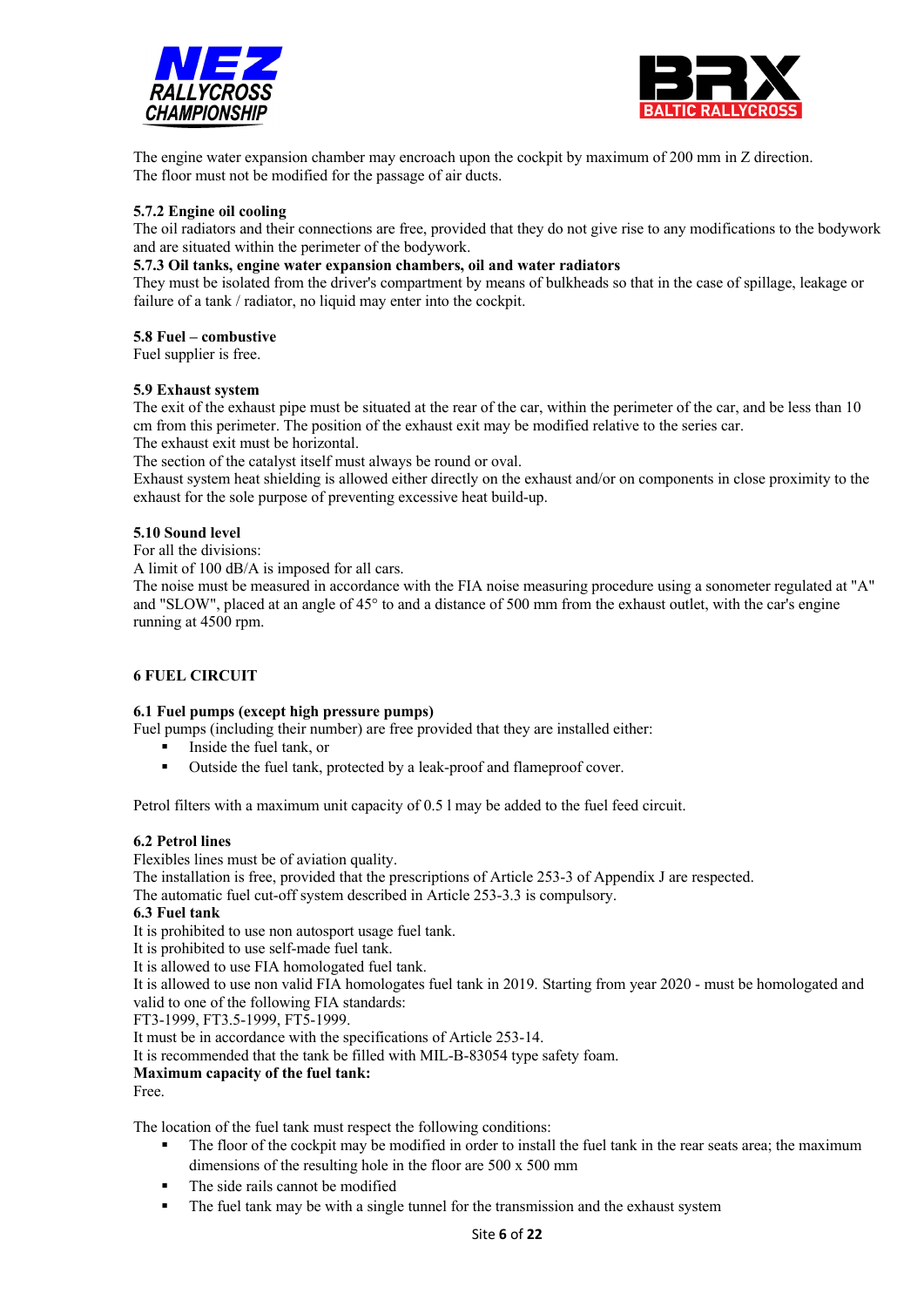



The engine water expansion chamber may encroach upon the cockpit by maximum of 200 mm in Z direction. The floor must not be modified for the passage of air ducts.

#### **5.7.2 Engine oil cooling**

The oil radiators and their connections are free, provided that they do not give rise to any modifications to the bodywork and are situated within the perimeter of the bodywork.

## **5.7.3 Oil tanks, engine water expansion chambers, oil and water radiators**

They must be isolated from the driver's compartment by means of bulkheads so that in the case of spillage, leakage or failure of a tank / radiator, no liquid may enter into the cockpit.

#### **5.8 Fuel – combustive**

Fuel supplier is free.

#### **5.9 Exhaust system**

The exit of the exhaust pipe must be situated at the rear of the car, within the perimeter of the car, and be less than 10 cm from this perimeter. The position of the exhaust exit may be modified relative to the series car.

The exhaust exit must be horizontal.

The section of the catalyst itself must always be round or oval.

Exhaust system heat shielding is allowed either directly on the exhaust and/or on components in close proximity to the exhaust for the sole purpose of preventing excessive heat build-up.

#### **5.10 Sound level**

For all the divisions:

A limit of 100 dB/A is imposed for all cars.

The noise must be measured in accordance with the FIA noise measuring procedure using a sonometer regulated at "A" and "SLOW", placed at an angle of 45° to and a distance of 500 mm from the exhaust outlet, with the car's engine running at 4500 rpm.

#### **6 FUEL CIRCUIT**

#### **6.1 Fuel pumps (except high pressure pumps)**

Fuel pumps (including their number) are free provided that they are installed either:

- § Inside the fuel tank, or
- Outside the fuel tank, protected by a leak-proof and flameproof cover.

Petrol filters with a maximum unit capacity of 0.5 l may be added to the fuel feed circuit.

#### **6.2 Petrol lines**

Flexibles lines must be of aviation quality.

The installation is free, provided that the prescriptions of Article 253-3 of Appendix J are respected.

The automatic fuel cut-off system described in Article 253-3.3 is compulsory.

#### **6.3 Fuel tank**

It is prohibited to use non autosport usage fuel tank.

It is prohibited to use self-made fuel tank.

It is allowed to use FIA homologated fuel tank.

It is allowed to use non valid FIA homologates fuel tank in 2019. Starting from year 2020 - must be homologated and valid to one of the following FIA standards:

FT3-1999, FT3.5-1999, FT5-1999.

It must be in accordance with the specifications of Article 253-14.

It is recommended that the tank be filled with MIL-B-83054 type safety foam.

#### **Maximum capacity of the fuel tank:**

Free.

The location of the fuel tank must respect the following conditions:

- The floor of the cockpit may be modified in order to install the fuel tank in the rear seats area; the maximum dimensions of the resulting hole in the floor are 500 x 500 mm
- The side rails cannot be modified
- The fuel tank may be with a single tunnel for the transmission and the exhaust system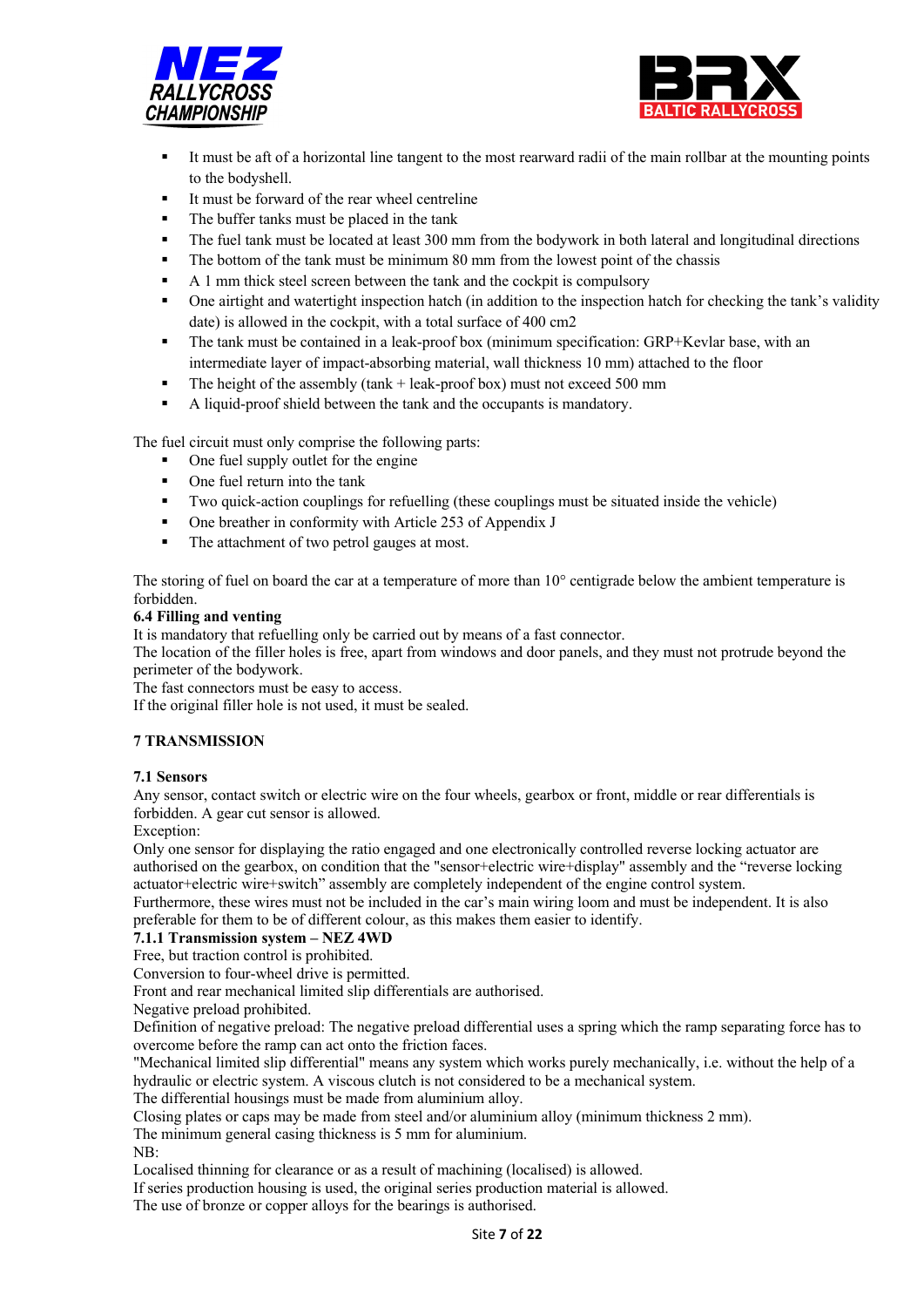



- It must be aft of a horizontal line tangent to the most rearward radii of the main rollbar at the mounting points to the bodyshell.
- It must be forward of the rear wheel centreline
- The buffer tanks must be placed in the tank
- The fuel tank must be located at least 300 mm from the bodywork in both lateral and longitudinal directions
- The bottom of the tank must be minimum 80 mm from the lowest point of the chassis
- § A 1 mm thick steel screen between the tank and the cockpit is compulsory
- One airtight and watertight inspection hatch (in addition to the inspection hatch for checking the tank's validity date) is allowed in the cockpit, with a total surface of 400 cm2
- § The tank must be contained in a leak-proof box (minimum specification: GRP+Kevlar base, with an intermediate layer of impact-absorbing material, wall thickness 10 mm) attached to the floor
- **•** The height of the assembly (tank  $+$  leak-proof box) must not exceed 500 mm
- A liquid-proof shield between the tank and the occupants is mandatory.

The fuel circuit must only comprise the following parts:

- One fuel supply outlet for the engine
- § One fuel return into the tank
- § Two quick-action couplings for refuelling (these couplings must be situated inside the vehicle)
- One breather in conformity with Article 253 of Appendix J
- The attachment of two petrol gauges at most.

The storing of fuel on board the car at a temperature of more than 10° centigrade below the ambient temperature is forbidden.

#### **6.4 Filling and venting**

It is mandatory that refuelling only be carried out by means of a fast connector.

The location of the filler holes is free, apart from windows and door panels, and they must not protrude beyond the perimeter of the bodywork.

The fast connectors must be easy to access.

If the original filler hole is not used, it must be sealed.

#### **7 TRANSMISSION**

#### **7.1 Sensors**

Any sensor, contact switch or electric wire on the four wheels, gearbox or front, middle or rear differentials is forbidden. A gear cut sensor is allowed.

Exception:

Only one sensor for displaying the ratio engaged and one electronically controlled reverse locking actuator are authorised on the gearbox, on condition that the "sensor+electric wire+display" assembly and the "reverse locking actuator+electric wire+switch" assembly are completely independent of the engine control system.

Furthermore, these wires must not be included in the car's main wiring loom and must be independent. It is also preferable for them to be of different colour, as this makes them easier to identify.

#### **7.1.1 Transmission system – NEZ 4WD**

Free, but traction control is prohibited.

Conversion to four-wheel drive is permitted.

Front and rear mechanical limited slip differentials are authorised.

Negative preload prohibited.

Definition of negative preload: The negative preload differential uses a spring which the ramp separating force has to overcome before the ramp can act onto the friction faces.

"Mechanical limited slip differential" means any system which works purely mechanically, i.e. without the help of a hydraulic or electric system. A viscous clutch is not considered to be a mechanical system.

The differential housings must be made from aluminium alloy.

Closing plates or caps may be made from steel and/or aluminium alloy (minimum thickness 2 mm).

The minimum general casing thickness is 5 mm for aluminium.

NB:

Localised thinning for clearance or as a result of machining (localised) is allowed.

If series production housing is used, the original series production material is allowed.

The use of bronze or copper alloys for the bearings is authorised.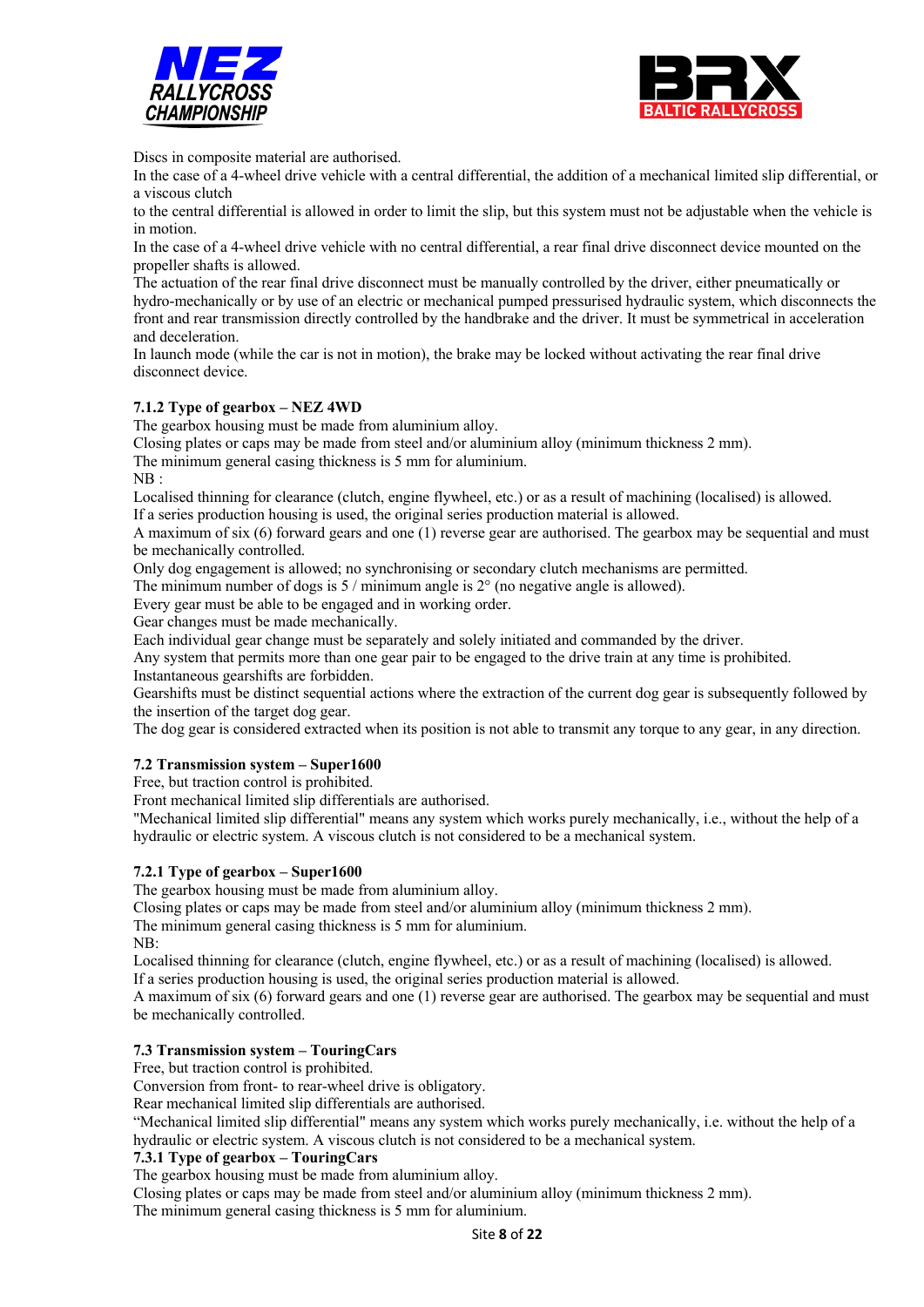



Discs in composite material are authorised.

In the case of a 4-wheel drive vehicle with a central differential, the addition of a mechanical limited slip differential, or a viscous clutch

to the central differential is allowed in order to limit the slip, but this system must not be adjustable when the vehicle is in motion.

In the case of a 4-wheel drive vehicle with no central differential, a rear final drive disconnect device mounted on the propeller shafts is allowed.

The actuation of the rear final drive disconnect must be manually controlled by the driver, either pneumatically or hydro-mechanically or by use of an electric or mechanical pumped pressurised hydraulic system, which disconnects the front and rear transmission directly controlled by the handbrake and the driver. It must be symmetrical in acceleration and deceleration.

In launch mode (while the car is not in motion), the brake may be locked without activating the rear final drive disconnect device.

#### **7.1.2 Type of gearbox – NEZ 4WD**

The gearbox housing must be made from aluminium alloy.

Closing plates or caps may be made from steel and/or aluminium alloy (minimum thickness 2 mm).

The minimum general casing thickness is 5 mm for aluminium.

NB :

Localised thinning for clearance (clutch, engine flywheel, etc.) or as a result of machining (localised) is allowed.

If a series production housing is used, the original series production material is allowed.

A maximum of six (6) forward gears and one (1) reverse gear are authorised. The gearbox may be sequential and must be mechanically controlled.

Only dog engagement is allowed; no synchronising or secondary clutch mechanisms are permitted.

The minimum number of dogs is  $5 /$  minimum angle is  $2^\circ$  (no negative angle is allowed).

Every gear must be able to be engaged and in working order.

Gear changes must be made mechanically.

Each individual gear change must be separately and solely initiated and commanded by the driver.

Any system that permits more than one gear pair to be engaged to the drive train at any time is prohibited.

Instantaneous gearshifts are forbidden.

Gearshifts must be distinct sequential actions where the extraction of the current dog gear is subsequently followed by the insertion of the target dog gear.

The dog gear is considered extracted when its position is not able to transmit any torque to any gear, in any direction.

## **7.2 Transmission system – Super1600**

Free, but traction control is prohibited.

Front mechanical limited slip differentials are authorised.

"Mechanical limited slip differential" means any system which works purely mechanically, i.e., without the help of a hydraulic or electric system. A viscous clutch is not considered to be a mechanical system.

#### **7.2.1 Type of gearbox – Super1600**

The gearbox housing must be made from aluminium alloy.

Closing plates or caps may be made from steel and/or aluminium alloy (minimum thickness 2 mm).

The minimum general casing thickness is 5 mm for aluminium.

NB:

Localised thinning for clearance (clutch, engine flywheel, etc.) or as a result of machining (localised) is allowed. If a series production housing is used, the original series production material is allowed.

A maximum of six (6) forward gears and one (1) reverse gear are authorised. The gearbox may be sequential and must be mechanically controlled.

#### **7.3 Transmission system – TouringCars**

Free, but traction control is prohibited.

Conversion from front- to rear-wheel drive is obligatory.

Rear mechanical limited slip differentials are authorised.

"Mechanical limited slip differential" means any system which works purely mechanically, i.e. without the help of a hydraulic or electric system. A viscous clutch is not considered to be a mechanical system.

#### **7.3.1 Type of gearbox – TouringCars**

The gearbox housing must be made from aluminium alloy.

Closing plates or caps may be made from steel and/or aluminium alloy (minimum thickness 2 mm).

The minimum general casing thickness is 5 mm for aluminium.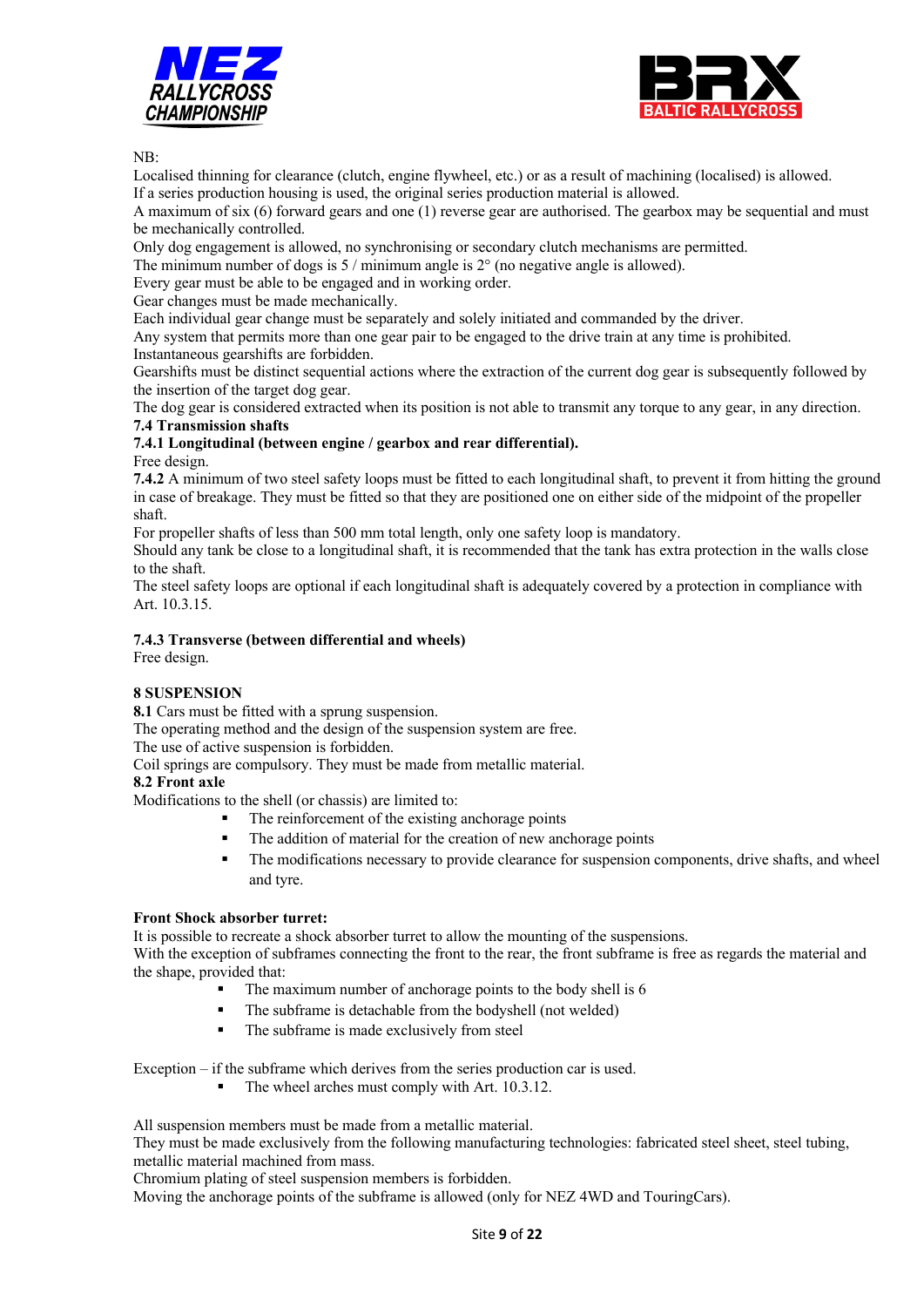



NB:

Localised thinning for clearance (clutch, engine flywheel, etc.) or as a result of machining (localised) is allowed. If a series production housing is used, the original series production material is allowed.

A maximum of six (6) forward gears and one (1) reverse gear are authorised. The gearbox may be sequential and must be mechanically controlled.

Only dog engagement is allowed, no synchronising or secondary clutch mechanisms are permitted.

The minimum number of dogs is  $5 /$  minimum angle is  $2^{\circ}$  (no negative angle is allowed).

Every gear must be able to be engaged and in working order.

Gear changes must be made mechanically.

Each individual gear change must be separately and solely initiated and commanded by the driver.

Any system that permits more than one gear pair to be engaged to the drive train at any time is prohibited. Instantaneous gearshifts are forbidden.

Gearshifts must be distinct sequential actions where the extraction of the current dog gear is subsequently followed by the insertion of the target dog gear.

The dog gear is considered extracted when its position is not able to transmit any torque to any gear, in any direction. **7.4 Transmission shafts** 

## **7.4.1 Longitudinal (between engine / gearbox and rear differential).**

#### Free design.

**7.4.2** A minimum of two steel safety loops must be fitted to each longitudinal shaft, to prevent it from hitting the ground in case of breakage. They must be fitted so that they are positioned one on either side of the midpoint of the propeller shaft.

For propeller shafts of less than 500 mm total length, only one safety loop is mandatory.

Should any tank be close to a longitudinal shaft, it is recommended that the tank has extra protection in the walls close to the shaft.

The steel safety loops are optional if each longitudinal shaft is adequately covered by a protection in compliance with Art. 10.3.15.

#### **7.4.3 Transverse (between differential and wheels)**

Free design.

## **8 SUSPENSION**

**8.1** Cars must be fitted with a sprung suspension.

The operating method and the design of the suspension system are free.

The use of active suspension is forbidden.

Coil springs are compulsory. They must be made from metallic material.

#### **8.2 Front axle**

Modifications to the shell (or chassis) are limited to:

- The reinforcement of the existing anchorage points
- The addition of material for the creation of new anchorage points
- The modifications necessary to provide clearance for suspension components, drive shafts, and wheel and tyre.

#### **Front Shock absorber turret:**

It is possible to recreate a shock absorber turret to allow the mounting of the suspensions.

With the exception of subframes connecting the front to the rear, the front subframe is free as regards the material and the shape, provided that:

- The maximum number of anchorage points to the body shell is 6
- The subframe is detachable from the bodyshell (not welded)
	- The subframe is made exclusively from steel

Exception – if the subframe which derives from the series production car is used.

■ The wheel arches must comply with Art. 10.3.12.

All suspension members must be made from a metallic material.

They must be made exclusively from the following manufacturing technologies: fabricated steel sheet, steel tubing, metallic material machined from mass.

Chromium plating of steel suspension members is forbidden.

Moving the anchorage points of the subframe is allowed (only for NEZ 4WD and TouringCars).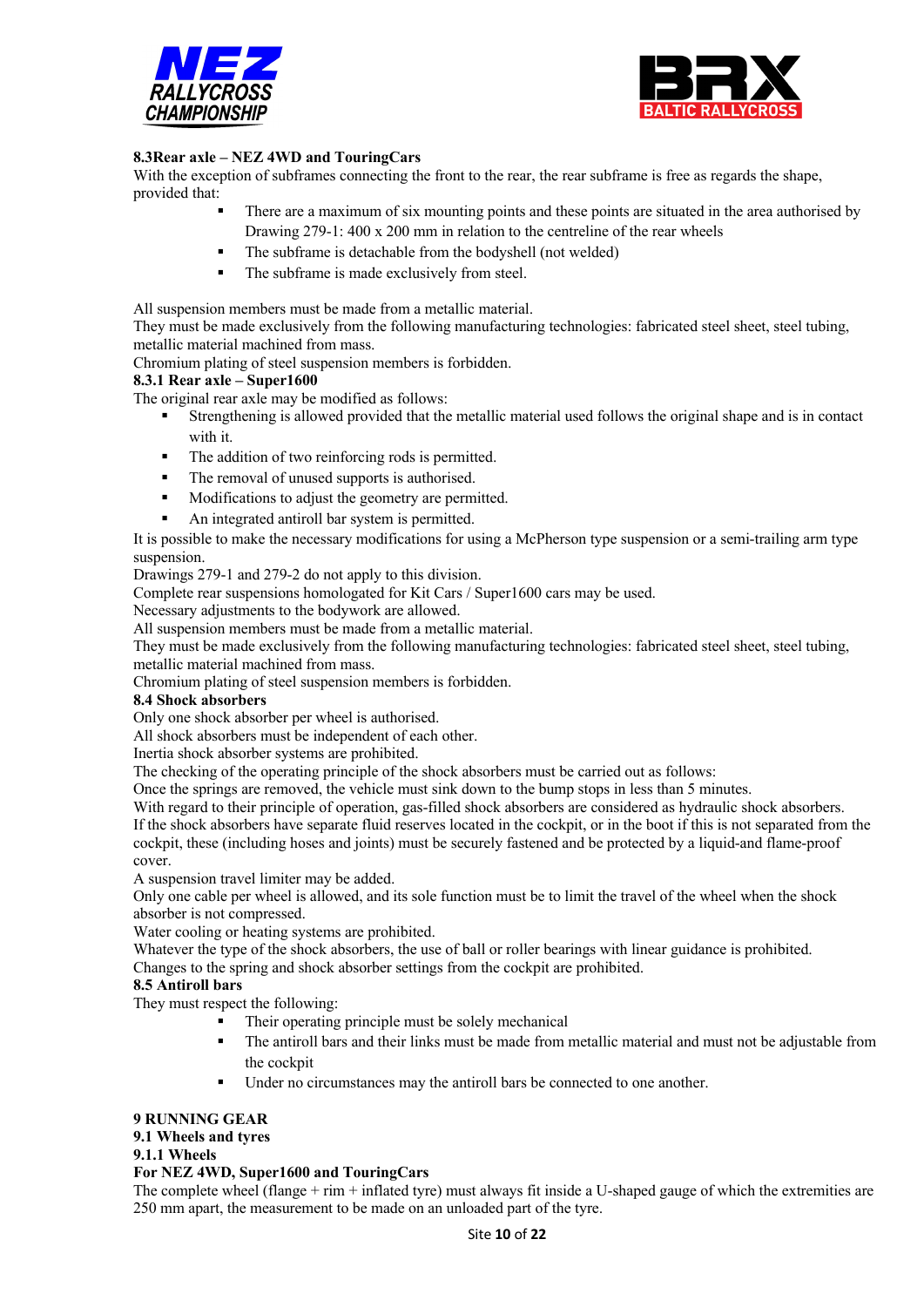



## **8.3Rear axle – NEZ 4WD and TouringCars**

With the exception of subframes connecting the front to the rear, the rear subframe is free as regards the shape, provided that:

- There are a maximum of six mounting points and these points are situated in the area authorised by Drawing 279-1: 400 x 200 mm in relation to the centreline of the rear wheels
- The subframe is detachable from the bodyshell (not welded)
- The subframe is made exclusively from steel.

All suspension members must be made from a metallic material.

They must be made exclusively from the following manufacturing technologies: fabricated steel sheet, steel tubing, metallic material machined from mass.

Chromium plating of steel suspension members is forbidden.

#### **8.3.1 Rear axle – Super1600**

The original rear axle may be modified as follows:

- Strengthening is allowed provided that the metallic material used follows the original shape and is in contact with it.
- The addition of two reinforcing rods is permitted.
- The removal of unused supports is authorised.
- Modifications to adjust the geometry are permitted.
- An integrated antiroll bar system is permitted.

It is possible to make the necessary modifications for using a McPherson type suspension or a semi-trailing arm type suspension.

Drawings 279-1 and 279-2 do not apply to this division.

Complete rear suspensions homologated for Kit Cars / Super1600 cars may be used.

Necessary adjustments to the bodywork are allowed.

All suspension members must be made from a metallic material.

They must be made exclusively from the following manufacturing technologies: fabricated steel sheet, steel tubing, metallic material machined from mass.

Chromium plating of steel suspension members is forbidden.

#### **8.4 Shock absorbers**

Only one shock absorber per wheel is authorised.

All shock absorbers must be independent of each other.

Inertia shock absorber systems are prohibited.

The checking of the operating principle of the shock absorbers must be carried out as follows:

Once the springs are removed, the vehicle must sink down to the bump stops in less than 5 minutes.

With regard to their principle of operation, gas-filled shock absorbers are considered as hydraulic shock absorbers.

If the shock absorbers have separate fluid reserves located in the cockpit, or in the boot if this is not separated from the cockpit, these (including hoses and joints) must be securely fastened and be protected by a liquid-and flame-proof cover.

A suspension travel limiter may be added.

Only one cable per wheel is allowed, and its sole function must be to limit the travel of the wheel when the shock absorber is not compressed.

Water cooling or heating systems are prohibited.

Whatever the type of the shock absorbers, the use of ball or roller bearings with linear guidance is prohibited. Changes to the spring and shock absorber settings from the cockpit are prohibited.

## **8.5 Antiroll bars**

They must respect the following:

- Their operating principle must be solely mechanical
- The antiroll bars and their links must be made from metallic material and must not be adjustable from the cockpit
- Under no circumstances may the antiroll bars be connected to one another.

## **9 RUNNING GEAR**

#### **9.1 Wheels and tyres**

#### **9.1.1 Wheels**

## **For NEZ 4WD, Super1600 and TouringCars**

The complete wheel (flange  $+$  rim  $+$  inflated tyre) must always fit inside a U-shaped gauge of which the extremities are 250 mm apart, the measurement to be made on an unloaded part of the tyre.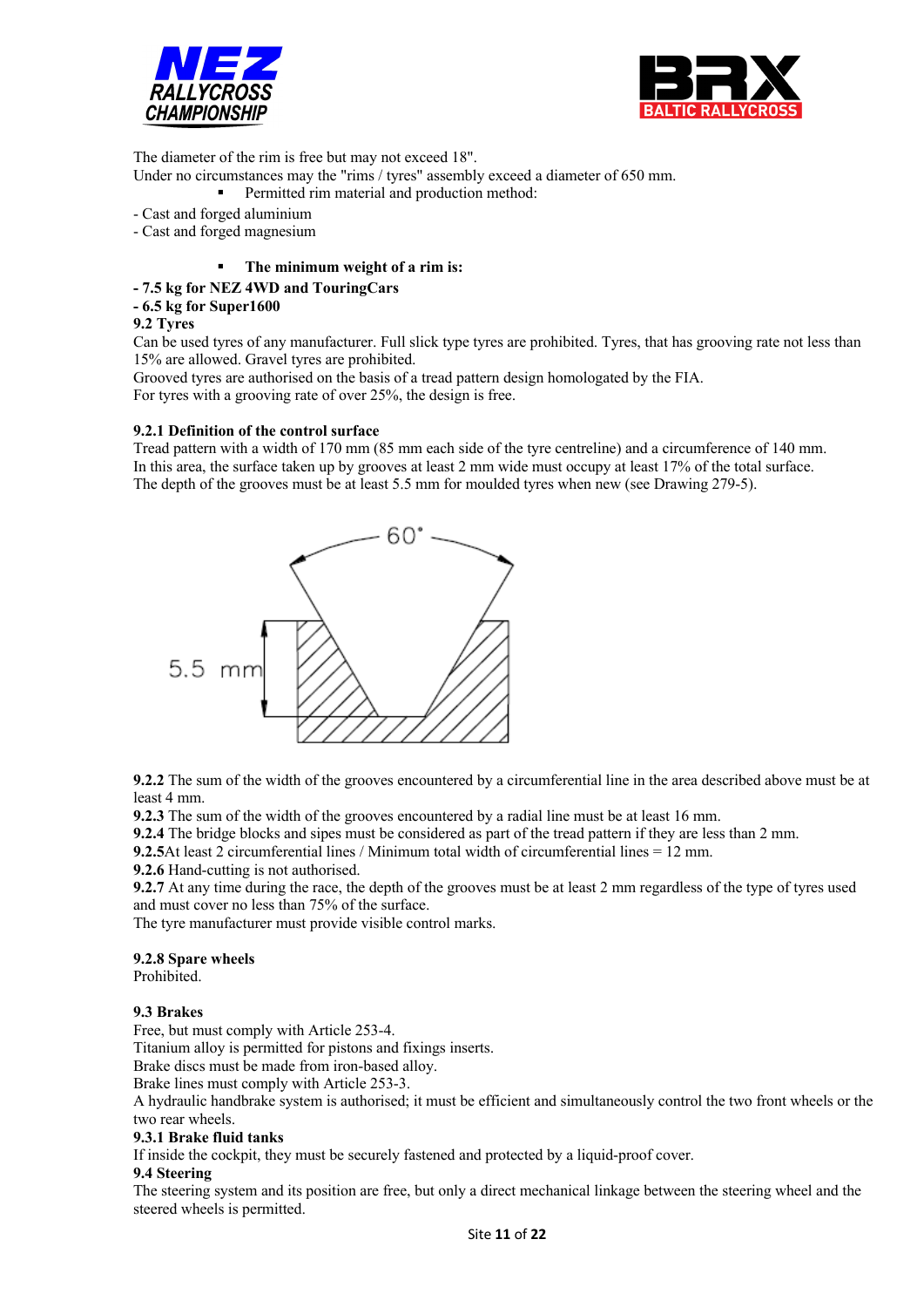



The diameter of the rim is free but may not exceed 18".

Under no circumstances may the "rims / tyres" assembly exceed a diameter of 650 mm.

- Permitted rim material and production method:
- Cast and forged aluminium
- Cast and forged magnesium
	- The minimum weight of a rim is:

## **- 7.5 kg for NEZ 4WD and TouringCars**

**- 6.5 kg for Super1600**

#### **9.2 Tyres**

Can be used tyres of any manufacturer. Full slick type tyres are prohibited. Tyres, that has grooving rate not less than 15% are allowed. Gravel tyres are prohibited.

Grooved tyres are authorised on the basis of a tread pattern design homologated by the FIA. For tyres with a grooving rate of over 25%, the design is free.

#### **9.2.1 Definition of the control surface**

Tread pattern with a width of 170 mm (85 mm each side of the tyre centreline) and a circumference of 140 mm. In this area, the surface taken up by grooves at least 2 mm wide must occupy at least 17% of the total surface. The depth of the grooves must be at least 5.5 mm for moulded tyres when new (see Drawing 279-5).



**9.2.2** The sum of the width of the grooves encountered by a circumferential line in the area described above must be at least 4 mm.

**9.2.3** The sum of the width of the grooves encountered by a radial line must be at least 16 mm.

**9.2.4** The bridge blocks and sipes must be considered as part of the tread pattern if they are less than 2 mm.

**9.2.5**At least 2 circumferential lines / Minimum total width of circumferential lines = 12 mm.

**9.2.6** Hand-cutting is not authorised.

**9.2.7** At any time during the race, the depth of the grooves must be at least 2 mm regardless of the type of tyres used and must cover no less than 75% of the surface.

The tyre manufacturer must provide visible control marks.

## **9.2.8 Spare wheels**

Prohibited.

## **9.3 Brakes**

Free, but must comply with Article 253-4.

Titanium alloy is permitted for pistons and fixings inserts.

Brake discs must be made from iron-based alloy.

Brake lines must comply with Article 253-3.

A hydraulic handbrake system is authorised; it must be efficient and simultaneously control the two front wheels or the two rear wheels.

#### **9.3.1 Brake fluid tanks**

If inside the cockpit, they must be securely fastened and protected by a liquid-proof cover.

## **9.4 Steering**

The steering system and its position are free, but only a direct mechanical linkage between the steering wheel and the steered wheels is permitted.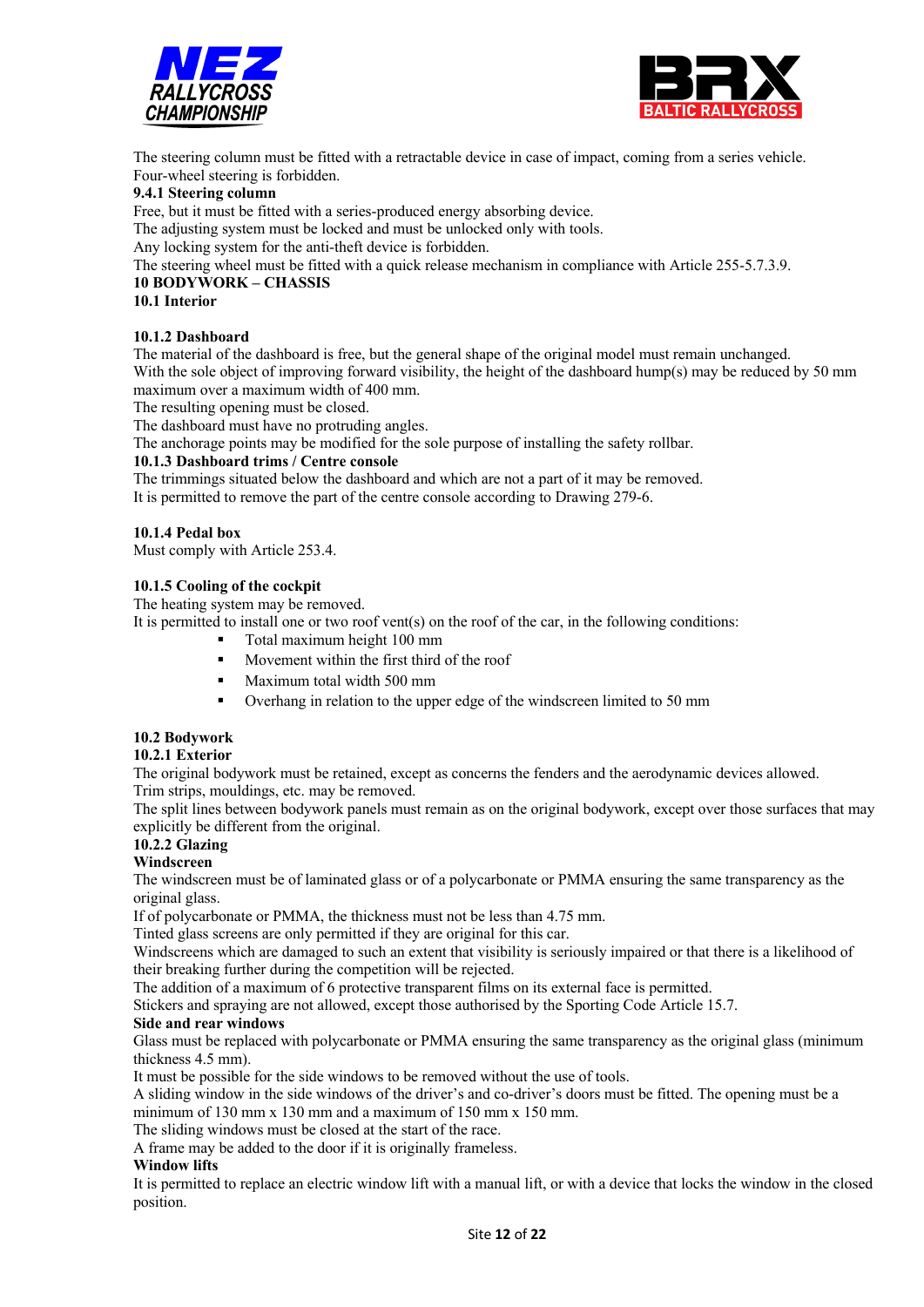



The steering column must be fitted with a retractable device in case of impact, coming from a series vehicle. Four-wheel steering is forbidden.

#### **9.4.1 Steering column**

Free, but it must be fitted with a series-produced energy absorbing device.

The adjusting system must be locked and must be unlocked only with tools.

Any locking system for the anti-theft device is forbidden.

The steering wheel must be fitted with a quick release mechanism in compliance with Article 255-5.7.3.9.

#### **10 BODYWORK – CHASSIS**

#### **10.1 Interior**

#### **10.1.2 Dashboard**

The material of the dashboard is free, but the general shape of the original model must remain unchanged. With the sole object of improving forward visibility, the height of the dashboard hump(s) may be reduced by 50 mm maximum over a maximum width of 400 mm.

The resulting opening must be closed.

The dashboard must have no protruding angles.

The anchorage points may be modified for the sole purpose of installing the safety rollbar.

#### **10.1.3 Dashboard trims / Centre console**

The trimmings situated below the dashboard and which are not a part of it may be removed.

It is permitted to remove the part of the centre console according to Drawing 279-6.

#### **10.1.4 Pedal box**

Must comply with Article 253.4.

#### **10.1.5 Cooling of the cockpit**

The heating system may be removed.

It is permitted to install one or two roof vent(s) on the roof of the car, in the following conditions:

- § Total maximum height 100 mm
- § Movement within the first third of the roof
- § Maximum total width 500 mm
- Overhang in relation to the upper edge of the windscreen limited to 50 mm

## **10.2 Bodywork**

#### **10.2.1 Exterior**

The original bodywork must be retained, except as concerns the fenders and the aerodynamic devices allowed. Trim strips, mouldings, etc. may be removed.

The split lines between bodywork panels must remain as on the original bodywork, except over those surfaces that may explicitly be different from the original.

## **10.2.2 Glazing**

## **Windscreen**

The windscreen must be of laminated glass or of a polycarbonate or PMMA ensuring the same transparency as the original glass.

If of polycarbonate or PMMA, the thickness must not be less than 4.75 mm.

Tinted glass screens are only permitted if they are original for this car.

Windscreens which are damaged to such an extent that visibility is seriously impaired or that there is a likelihood of their breaking further during the competition will be rejected.

The addition of a maximum of 6 protective transparent films on its external face is permitted.

Stickers and spraying are not allowed, except those authorised by the Sporting Code Article 15.7.

#### **Side and rear windows**

Glass must be replaced with polycarbonate or PMMA ensuring the same transparency as the original glass (minimum thickness 4.5 mm).

It must be possible for the side windows to be removed without the use of tools.

A sliding window in the side windows of the driver's and co-driver's doors must be fitted. The opening must be a minimum of 130 mm x 130 mm and a maximum of 150 mm x 150 mm.

The sliding windows must be closed at the start of the race.

A frame may be added to the door if it is originally frameless.

#### **Window lifts**

It is permitted to replace an electric window lift with a manual lift, or with a device that locks the window in the closed position.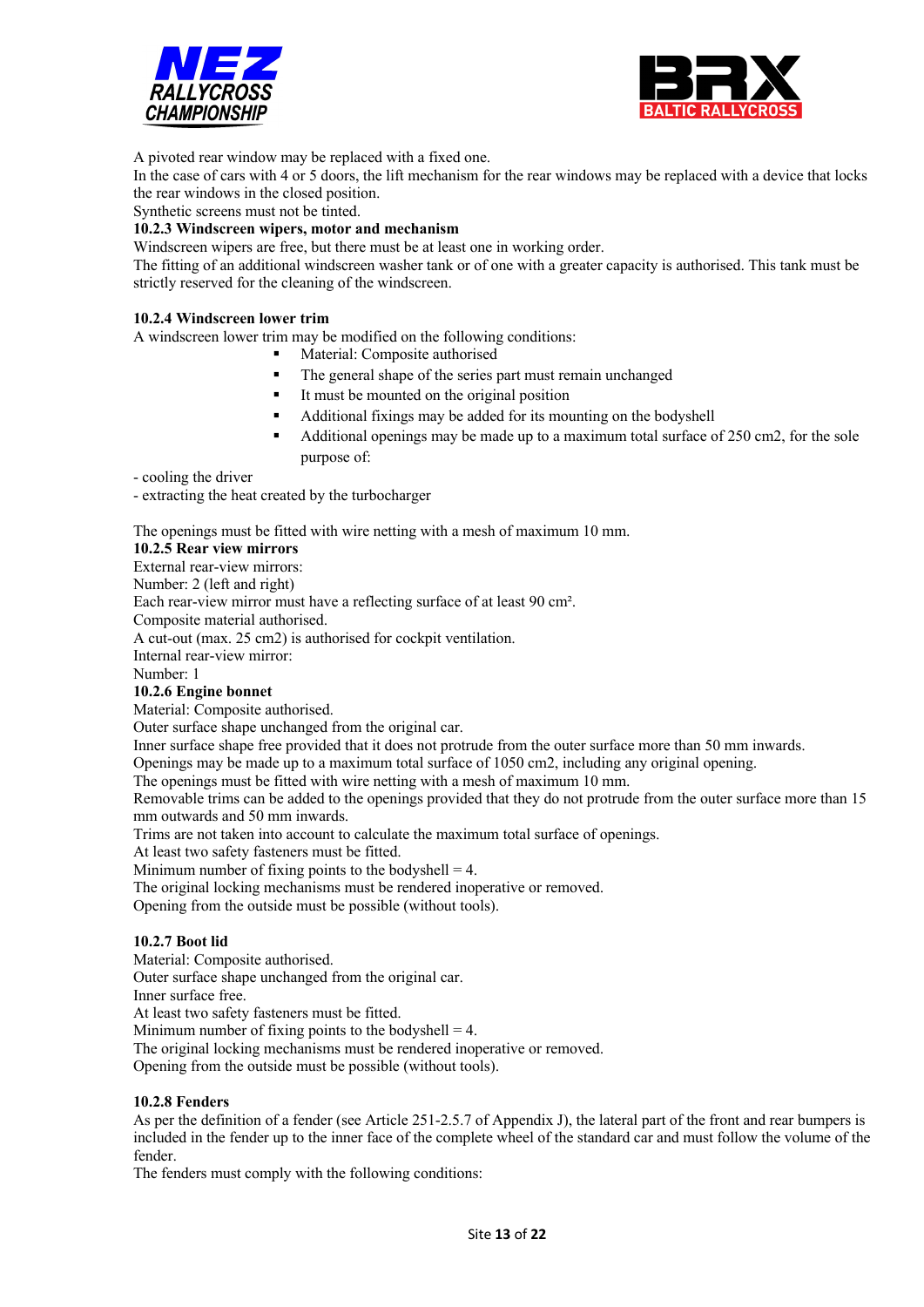



A pivoted rear window may be replaced with a fixed one.

In the case of cars with 4 or 5 doors, the lift mechanism for the rear windows may be replaced with a device that locks the rear windows in the closed position.

Synthetic screens must not be tinted.

#### **10.2.3 Windscreen wipers, motor and mechanism**

Windscreen wipers are free, but there must be at least one in working order.

The fitting of an additional windscreen washer tank or of one with a greater capacity is authorised. This tank must be strictly reserved for the cleaning of the windscreen.

#### **10.2.4 Windscreen lower trim**

A windscreen lower trim may be modified on the following conditions:

- § Material: Composite authorised
- The general shape of the series part must remain unchanged
- It must be mounted on the original position
- § Additional fixings may be added for its mounting on the bodyshell
- Additional openings may be made up to a maximum total surface of 250 cm2, for the sole purpose of:

- cooling the driver

- extracting the heat created by the turbocharger

The openings must be fitted with wire netting with a mesh of maximum 10 mm.

#### **10.2.5 Rear view mirrors**

External rear-view mirrors:

Number: 2 (left and right)

Each rear-view mirror must have a reflecting surface of at least 90 cm².

Composite material authorised.

A cut-out (max. 25 cm2) is authorised for cockpit ventilation.

Internal rear-view mirror:

Number: 1

#### **10.2.6 Engine bonnet**

Material: Composite authorised.

Outer surface shape unchanged from the original car.

Inner surface shape free provided that it does not protrude from the outer surface more than 50 mm inwards.

Openings may be made up to a maximum total surface of 1050 cm2, including any original opening.

The openings must be fitted with wire netting with a mesh of maximum 10 mm.

Removable trims can be added to the openings provided that they do not protrude from the outer surface more than 15 mm outwards and 50 mm inwards.

Trims are not taken into account to calculate the maximum total surface of openings.

At least two safety fasteners must be fitted.

Minimum number of fixing points to the bodyshell  $=$  4.

The original locking mechanisms must be rendered inoperative or removed.

Opening from the outside must be possible (without tools).

#### **10.2.7 Boot lid**

Material: Composite authorised.

Outer surface shape unchanged from the original car.

Inner surface free.

At least two safety fasteners must be fitted.

Minimum number of fixing points to the bodyshell  $=$  4.

The original locking mechanisms must be rendered inoperative or removed.

Opening from the outside must be possible (without tools).

#### **10.2.8 Fenders**

As per the definition of a fender (see Article 251-2.5.7 of Appendix J), the lateral part of the front and rear bumpers is included in the fender up to the inner face of the complete wheel of the standard car and must follow the volume of the fender.

The fenders must comply with the following conditions: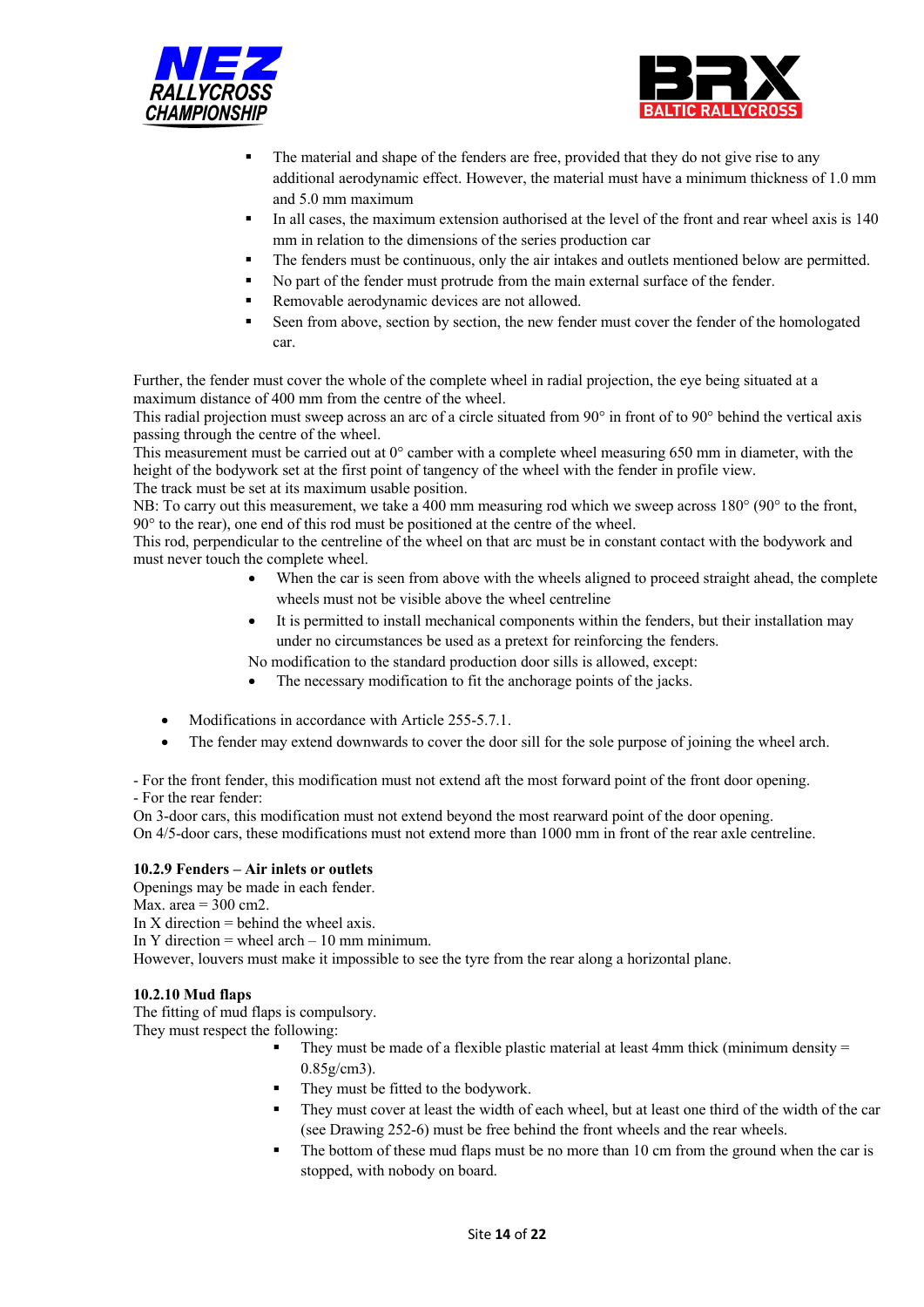



- The material and shape of the fenders are free, provided that they do not give rise to any additional aerodynamic effect. However, the material must have a minimum thickness of 1.0 mm and 5.0 mm maximum
- In all cases, the maximum extension authorised at the level of the front and rear wheel axis is 140 mm in relation to the dimensions of the series production car
- The fenders must be continuous, only the air intakes and outlets mentioned below are permitted.
- No part of the fender must protrude from the main external surface of the fender.
- Removable aerodynamic devices are not allowed.
- Seen from above, section by section, the new fender must cover the fender of the homologated car.

Further, the fender must cover the whole of the complete wheel in radial projection, the eye being situated at a maximum distance of 400 mm from the centre of the wheel.

This radial projection must sweep across an arc of a circle situated from 90° in front of to 90° behind the vertical axis passing through the centre of the wheel.

This measurement must be carried out at 0° camber with a complete wheel measuring 650 mm in diameter, with the height of the bodywork set at the first point of tangency of the wheel with the fender in profile view.

The track must be set at its maximum usable position.

NB: To carry out this measurement, we take a 400 mm measuring rod which we sweep across 180° (90° to the front, 90° to the rear), one end of this rod must be positioned at the centre of the wheel.

This rod, perpendicular to the centreline of the wheel on that arc must be in constant contact with the bodywork and must never touch the complete wheel.

- When the car is seen from above with the wheels aligned to proceed straight ahead, the complete wheels must not be visible above the wheel centreline
- It is permitted to install mechanical components within the fenders, but their installation may under no circumstances be used as a pretext for reinforcing the fenders.

No modification to the standard production door sills is allowed, except:

- The necessary modification to fit the anchorage points of the jacks.
- Modifications in accordance with Article 255-5.7.1.
- The fender may extend downwards to cover the door sill for the sole purpose of joining the wheel arch.

- For the front fender, this modification must not extend aft the most forward point of the front door opening. - For the rear fender:

On 3-door cars, this modification must not extend beyond the most rearward point of the door opening. On 4/5-door cars, these modifications must not extend more than 1000 mm in front of the rear axle centreline.

#### **10.2.9 Fenders – Air inlets or outlets**

Openings may be made in each fender.

Max. area  $=$  300 cm2.

In X direction  $=$  behind the wheel axis.

In Y direction = wheel  $arch - 10$  mm minimum.

However, louvers must make it impossible to see the tyre from the rear along a horizontal plane.

#### **10.2.10 Mud flaps**

The fitting of mud flaps is compulsory.

They must respect the following:

- They must be made of a flexible plastic material at least 4mm thick (minimum density  $=$ 0.85g/cm3).
- They must be fitted to the bodywork.
- They must cover at least the width of each wheel, but at least one third of the width of the car (see Drawing 252-6) must be free behind the front wheels and the rear wheels.
- The bottom of these mud flaps must be no more than 10 cm from the ground when the car is stopped, with nobody on board.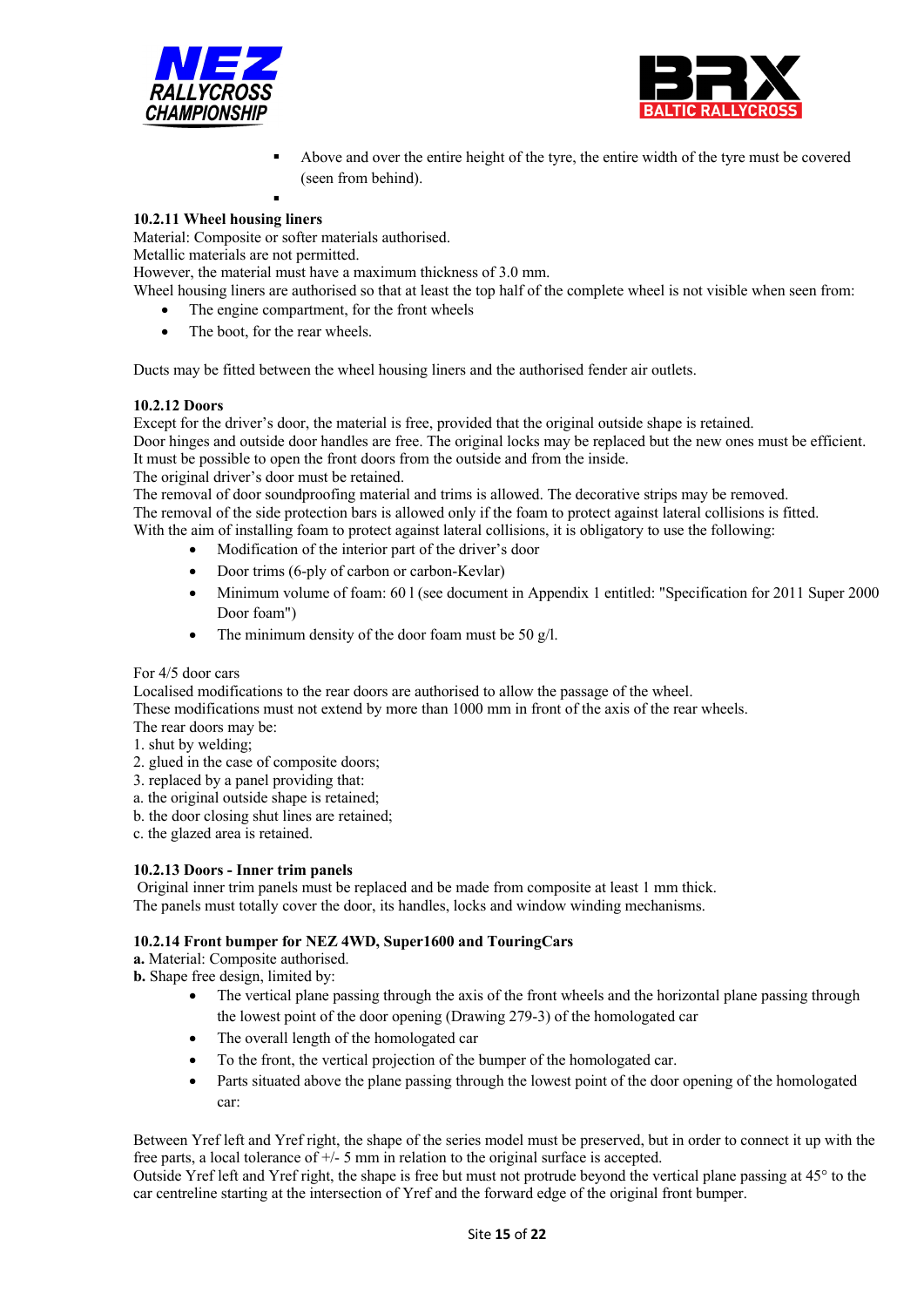



- § Above and over the entire height of the tyre, the entire width of the tyre must be covered (seen from behind).
- §

## **10.2.11 Wheel housing liners**

Material: Composite or softer materials authorised.

Metallic materials are not permitted.

However, the material must have a maximum thickness of 3.0 mm.

Wheel housing liners are authorised so that at least the top half of the complete wheel is not visible when seen from:

- The engine compartment, for the front wheels
- The boot, for the rear wheels.

Ducts may be fitted between the wheel housing liners and the authorised fender air outlets.

#### **10.2.12 Doors**

Except for the driver's door, the material is free, provided that the original outside shape is retained.

Door hinges and outside door handles are free. The original locks may be replaced but the new ones must be efficient. It must be possible to open the front doors from the outside and from the inside.

The original driver's door must be retained.

The removal of door soundproofing material and trims is allowed. The decorative strips may be removed. The removal of the side protection bars is allowed only if the foam to protect against lateral collisions is fitted. With the aim of installing foam to protect against lateral collisions, it is obligatory to use the following:

- Modification of the interior part of the driver's door
- Door trims (6-ply of carbon or carbon-Kevlar)
- Minimum volume of foam: 60 l (see document in Appendix 1 entitled: "Specification for 2011 Super 2000 Door foam")
- The minimum density of the door foam must be 50 g/l.

#### For 4/5 door cars

Localised modifications to the rear doors are authorised to allow the passage of the wheel.

These modifications must not extend by more than 1000 mm in front of the axis of the rear wheels.

- The rear doors may be:
- 1. shut by welding;
- 2. glued in the case of composite doors;
- 3. replaced by a panel providing that:
- a. the original outside shape is retained;
- b. the door closing shut lines are retained;

c. the glazed area is retained.

#### **10.2.13 Doors - Inner trim panels**

Original inner trim panels must be replaced and be made from composite at least 1 mm thick. The panels must totally cover the door, its handles, locks and window winding mechanisms.

#### **10.2.14 Front bumper for NEZ 4WD, Super1600 and TouringCars**

**a.** Material: Composite authorised.

**b.** Shape free design, limited by:

- The vertical plane passing through the axis of the front wheels and the horizontal plane passing through the lowest point of the door opening (Drawing 279-3) of the homologated car
- The overall length of the homologated car
- To the front, the vertical projection of the bumper of the homologated car.
- Parts situated above the plane passing through the lowest point of the door opening of the homologated car:

Between Yref left and Yref right, the shape of the series model must be preserved, but in order to connect it up with the free parts, a local tolerance of +/- 5 mm in relation to the original surface is accepted.

Outside Yref left and Yref right, the shape is free but must not protrude beyond the vertical plane passing at 45° to the car centreline starting at the intersection of Yref and the forward edge of the original front bumper.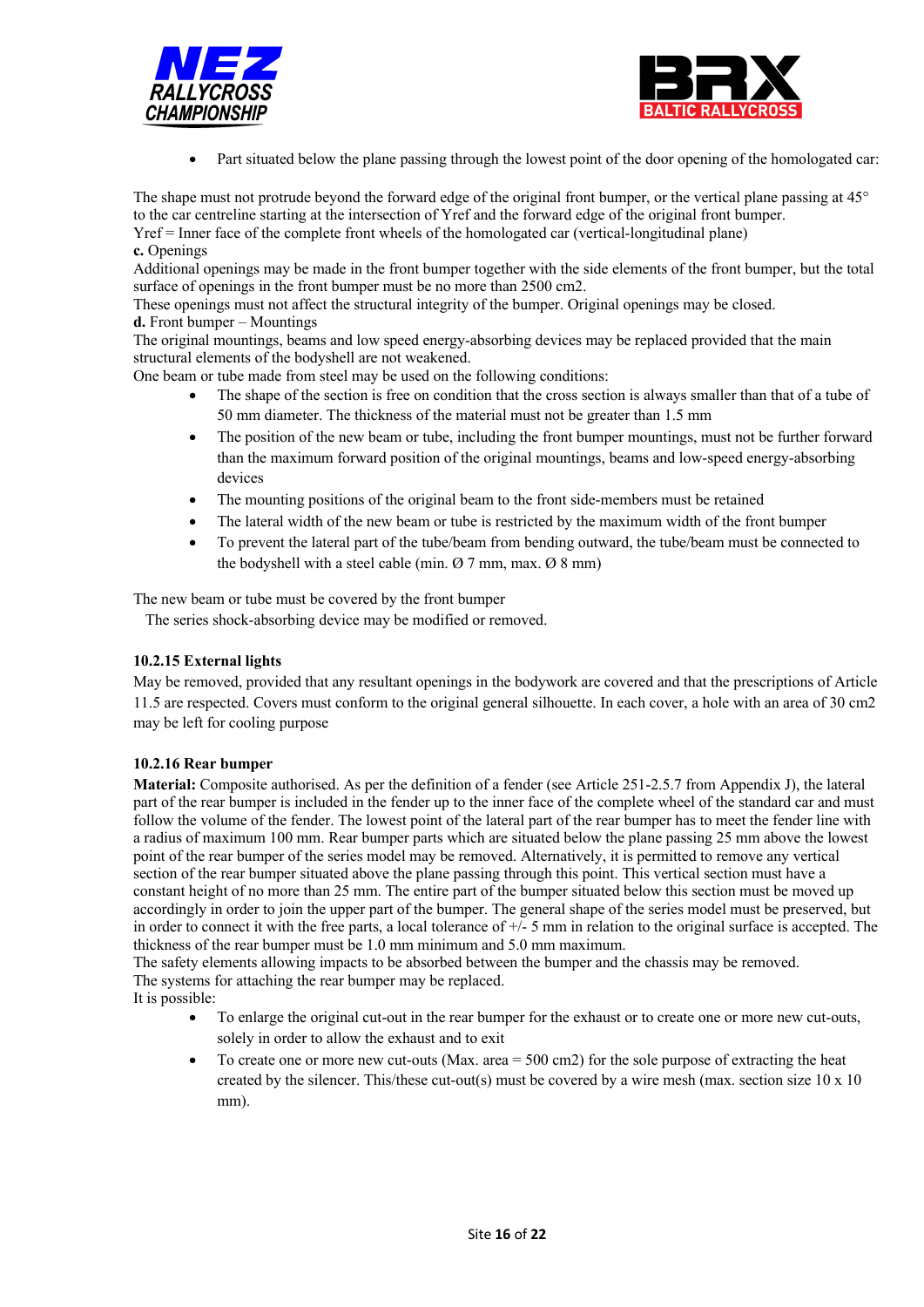



• Part situated below the plane passing through the lowest point of the door opening of the homologated car:

The shape must not protrude beyond the forward edge of the original front bumper, or the vertical plane passing at 45° to the car centreline starting at the intersection of Yref and the forward edge of the original front bumper. Yref = Inner face of the complete front wheels of the homologated car (vertical-longitudinal plane)

**c.** Openings

Additional openings may be made in the front bumper together with the side elements of the front bumper, but the total surface of openings in the front bumper must be no more than 2500 cm2.

These openings must not affect the structural integrity of the bumper. Original openings may be closed. **d.** Front bumper – Mountings

The original mountings, beams and low speed energy-absorbing devices may be replaced provided that the main structural elements of the bodyshell are not weakened.

One beam or tube made from steel may be used on the following conditions:

- The shape of the section is free on condition that the cross section is always smaller than that of a tube of 50 mm diameter. The thickness of the material must not be greater than 1.5 mm
- The position of the new beam or tube, including the front bumper mountings, must not be further forward than the maximum forward position of the original mountings, beams and low-speed energy-absorbing devices
- The mounting positions of the original beam to the front side-members must be retained
- The lateral width of the new beam or tube is restricted by the maximum width of the front bumper
- To prevent the lateral part of the tube/beam from bending outward, the tube/beam must be connected to the bodyshell with a steel cable (min. Ø 7 mm, max. Ø 8 mm)

The new beam or tube must be covered by the front bumper

The series shock-absorbing device may be modified or removed.

## **10.2.15 External lights**

May be removed, provided that any resultant openings in the bodywork are covered and that the prescriptions of Article 11.5 are respected. Covers must conform to the original general silhouette. In each cover, a hole with an area of 30 cm2 may be left for cooling purpose

## **10.2.16 Rear bumper**

**Material:** Composite authorised. As per the definition of a fender (see Article 251-2.5.7 from Appendix J), the lateral part of the rear bumper is included in the fender up to the inner face of the complete wheel of the standard car and must follow the volume of the fender. The lowest point of the lateral part of the rear bumper has to meet the fender line with a radius of maximum 100 mm. Rear bumper parts which are situated below the plane passing 25 mm above the lowest point of the rear bumper of the series model may be removed. Alternatively, it is permitted to remove any vertical section of the rear bumper situated above the plane passing through this point. This vertical section must have a constant height of no more than 25 mm. The entire part of the bumper situated below this section must be moved up accordingly in order to join the upper part of the bumper. The general shape of the series model must be preserved, but in order to connect it with the free parts, a local tolerance of  $+/-$  5 mm in relation to the original surface is accepted. The thickness of the rear bumper must be 1.0 mm minimum and 5.0 mm maximum.

The safety elements allowing impacts to be absorbed between the bumper and the chassis may be removed. The systems for attaching the rear bumper may be replaced.

It is possible:

- To enlarge the original cut-out in the rear bumper for the exhaust or to create one or more new cut-outs, solely in order to allow the exhaust and to exit
- To create one or more new cut-outs (Max. area = 500 cm2) for the sole purpose of extracting the heat created by the silencer. This/these cut-out(s) must be covered by a wire mesh (max. section size  $10 \times 10$ mm).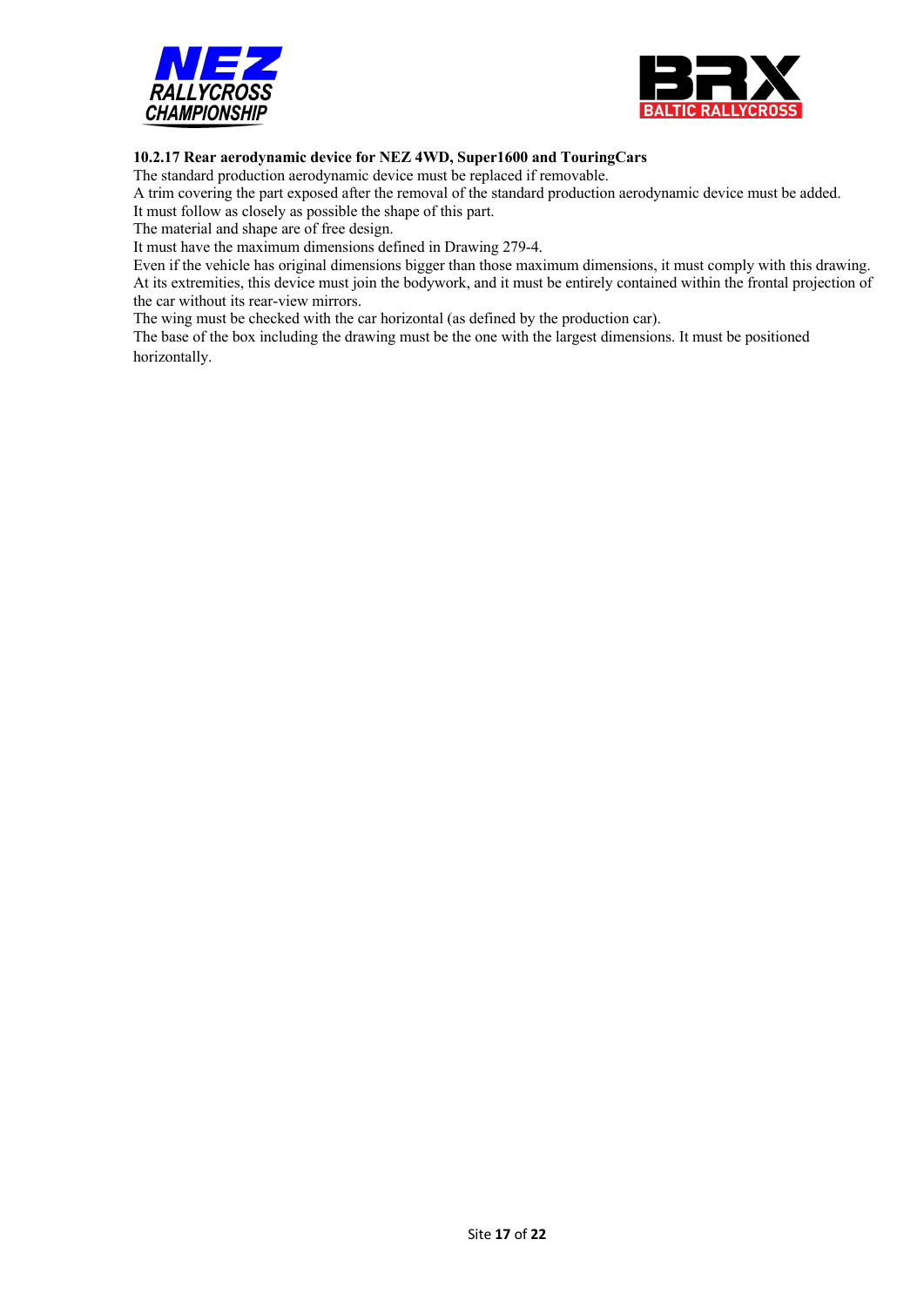



## **10.2.17 Rear aerodynamic device for NEZ 4WD, Super1600 and TouringCars**

The standard production aerodynamic device must be replaced if removable.

A trim covering the part exposed after the removal of the standard production aerodynamic device must be added.

It must follow as closely as possible the shape of this part.

The material and shape are of free design.

It must have the maximum dimensions defined in Drawing 279-4.

Even if the vehicle has original dimensions bigger than those maximum dimensions, it must comply with this drawing. At its extremities, this device must join the bodywork, and it must be entirely contained within the frontal projection of the car without its rear-view mirrors.

The wing must be checked with the car horizontal (as defined by the production car).

The base of the box including the drawing must be the one with the largest dimensions. It must be positioned horizontally.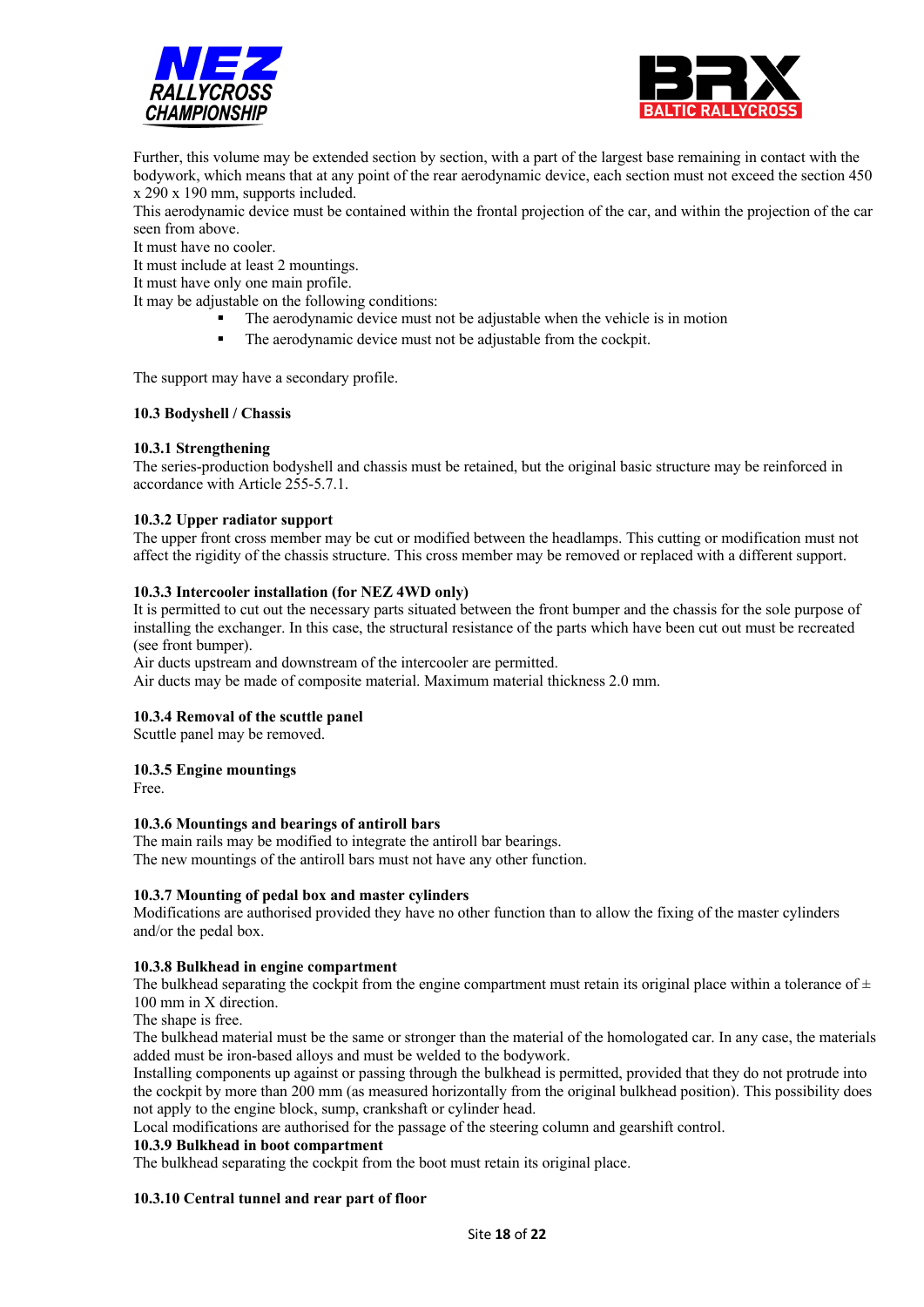



Further, this volume may be extended section by section, with a part of the largest base remaining in contact with the bodywork, which means that at any point of the rear aerodynamic device, each section must not exceed the section 450 x 290 x 190 mm, supports included.

This aerodynamic device must be contained within the frontal projection of the car, and within the projection of the car seen from above.

It must have no cooler.

It must include at least 2 mountings.

It must have only one main profile.

It may be adjustable on the following conditions:

■ The aerodynamic device must not be adjustable when the vehicle is in motion

The aerodynamic device must not be adjustable from the cockpit.

The support may have a secondary profile.

#### **10.3 Bodyshell / Chassis**

#### **10.3.1 Strengthening**

The series-production bodyshell and chassis must be retained, but the original basic structure may be reinforced in accordance with Article 255-5.7.1.

#### **10.3.2 Upper radiator support**

The upper front cross member may be cut or modified between the headlamps. This cutting or modification must not affect the rigidity of the chassis structure. This cross member may be removed or replaced with a different support.

#### **10.3.3 Intercooler installation (for NEZ 4WD only)**

It is permitted to cut out the necessary parts situated between the front bumper and the chassis for the sole purpose of installing the exchanger. In this case, the structural resistance of the parts which have been cut out must be recreated (see front bumper).

Air ducts upstream and downstream of the intercooler are permitted.

Air ducts may be made of composite material. Maximum material thickness 2.0 mm.

#### **10.3.4 Removal of the scuttle panel**

Scuttle panel may be removed.

#### **10.3.5 Engine mountings**

Free.

#### **10.3.6 Mountings and bearings of antiroll bars**

The main rails may be modified to integrate the antiroll bar bearings.

The new mountings of the antiroll bars must not have any other function.

#### **10.3.7 Mounting of pedal box and master cylinders**

Modifications are authorised provided they have no other function than to allow the fixing of the master cylinders and/or the pedal box.

#### **10.3.8 Bulkhead in engine compartment**

The bulkhead separating the cockpit from the engine compartment must retain its original place within a tolerance of  $\pm$ 100 mm in X direction.

The shape is free.

The bulkhead material must be the same or stronger than the material of the homologated car. In any case, the materials added must be iron-based alloys and must be welded to the bodywork.

Installing components up against or passing through the bulkhead is permitted, provided that they do not protrude into the cockpit by more than 200 mm (as measured horizontally from the original bulkhead position). This possibility does not apply to the engine block, sump, crankshaft or cylinder head.

Local modifications are authorised for the passage of the steering column and gearshift control.

#### **10.3.9 Bulkhead in boot compartment**

The bulkhead separating the cockpit from the boot must retain its original place.

#### **10.3.10 Central tunnel and rear part of floor**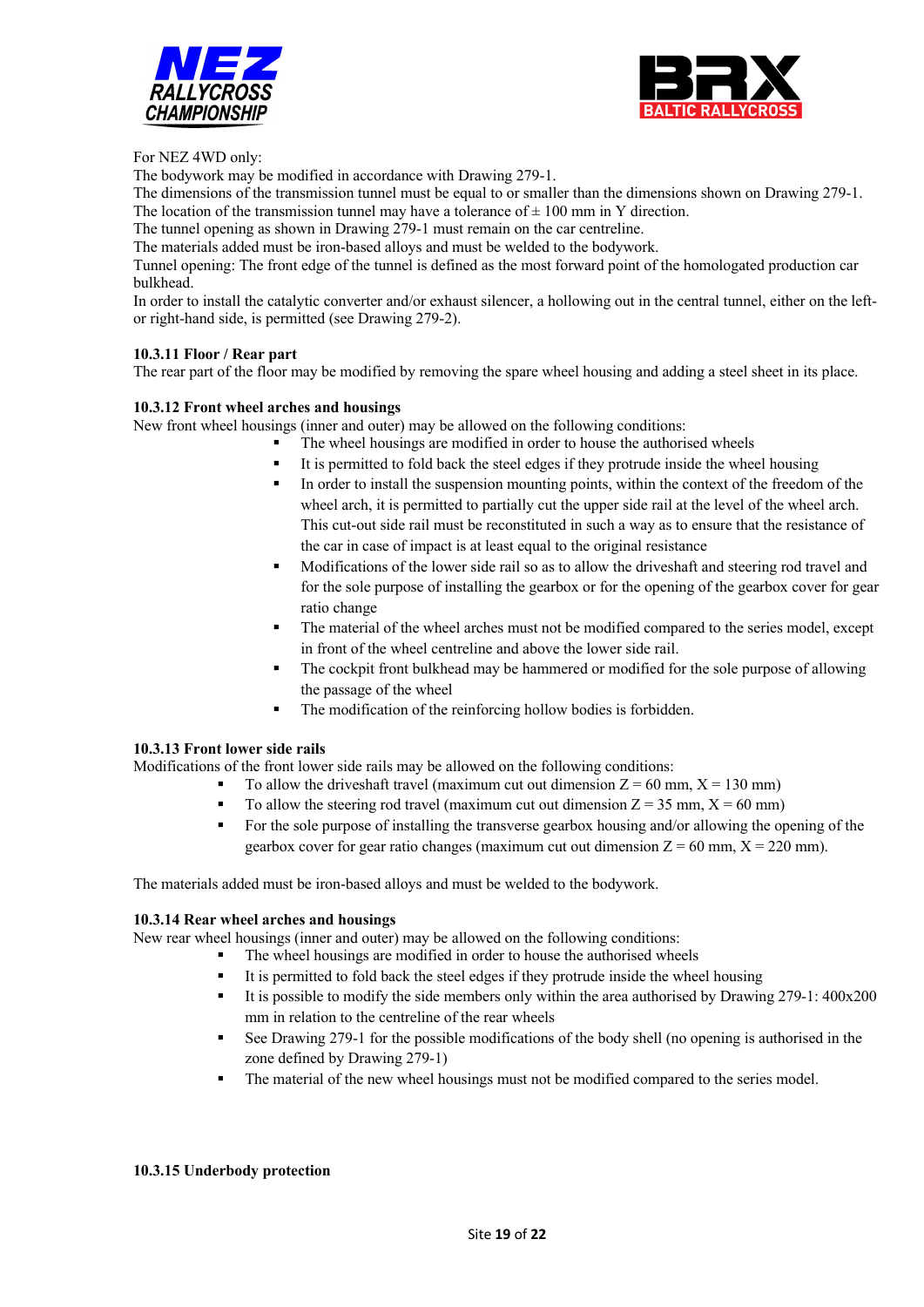



For NEZ 4WD only:

The bodywork may be modified in accordance with Drawing 279-1.

The dimensions of the transmission tunnel must be equal to or smaller than the dimensions shown on Drawing 279-1. The location of the transmission tunnel may have a tolerance of  $\pm$  100 mm in Y direction.

The tunnel opening as shown in Drawing 279-1 must remain on the car centreline.

The materials added must be iron-based alloys and must be welded to the bodywork.

Tunnel opening: The front edge of the tunnel is defined as the most forward point of the homologated production car bulkhead.

In order to install the catalytic converter and/or exhaust silencer, a hollowing out in the central tunnel, either on the leftor right-hand side, is permitted (see Drawing 279-2).

#### **10.3.11 Floor / Rear part**

The rear part of the floor may be modified by removing the spare wheel housing and adding a steel sheet in its place.

#### **10.3.12 Front wheel arches and housings**

New front wheel housings (inner and outer) may be allowed on the following conditions:

- The wheel housings are modified in order to house the authorised wheels
- It is permitted to fold back the steel edges if they protrude inside the wheel housing
- In order to install the suspension mounting points, within the context of the freedom of the wheel arch, it is permitted to partially cut the upper side rail at the level of the wheel arch. This cut-out side rail must be reconstituted in such a way as to ensure that the resistance of the car in case of impact is at least equal to the original resistance
- Modifications of the lower side rail so as to allow the driveshaft and steering rod travel and for the sole purpose of installing the gearbox or for the opening of the gearbox cover for gear ratio change
- The material of the wheel arches must not be modified compared to the series model, except in front of the wheel centreline and above the lower side rail.
- The cockpit front bulkhead may be hammered or modified for the sole purpose of allowing the passage of the wheel
- The modification of the reinforcing hollow bodies is forbidden.

#### **10.3.13 Front lower side rails**

Modifications of the front lower side rails may be allowed on the following conditions:

- To allow the driveshaft travel (maximum cut out dimension  $Z = 60$  mm,  $X = 130$  mm)
- To allow the steering rod travel (maximum cut out dimension  $Z = 35$  mm,  $X = 60$  mm)
- For the sole purpose of installing the transverse gearbox housing and/or allowing the opening of the gearbox cover for gear ratio changes (maximum cut out dimension  $Z = 60$  mm,  $X = 220$  mm).

The materials added must be iron-based alloys and must be welded to the bodywork.

#### **10.3.14 Rear wheel arches and housings**

New rear wheel housings (inner and outer) may be allowed on the following conditions:

- The wheel housings are modified in order to house the authorised wheels
	- It is permitted to fold back the steel edges if they protrude inside the wheel housing
	- § It is possible to modify the side members only within the area authorised by Drawing 279-1: 400x200 mm in relation to the centreline of the rear wheels
	- § See Drawing 279-1 for the possible modifications of the body shell (no opening is authorised in the zone defined by Drawing 279-1)
	- The material of the new wheel housings must not be modified compared to the series model.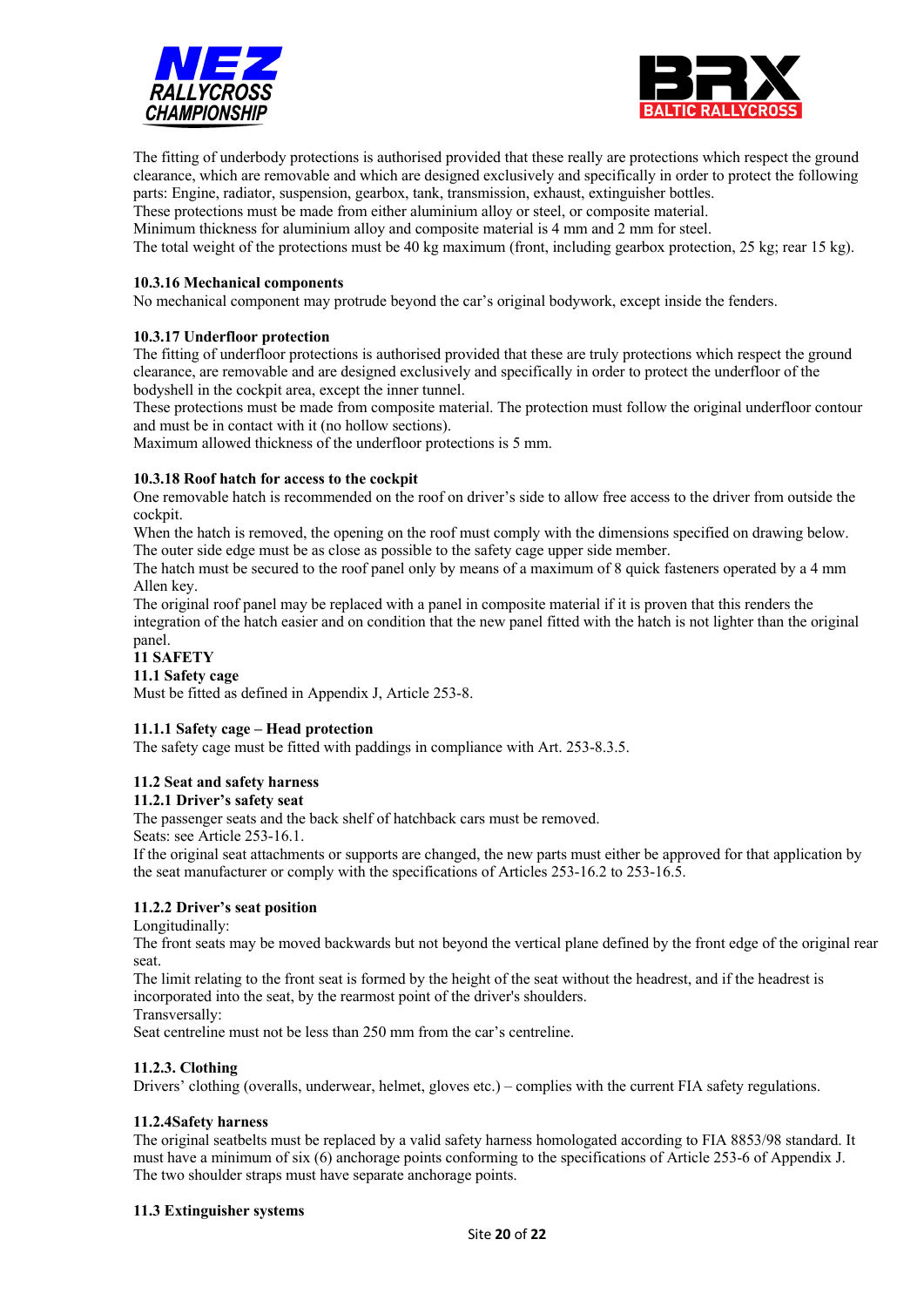



The fitting of underbody protections is authorised provided that these really are protections which respect the ground clearance, which are removable and which are designed exclusively and specifically in order to protect the following parts: Engine, radiator, suspension, gearbox, tank, transmission, exhaust, extinguisher bottles.

These protections must be made from either aluminium alloy or steel, or composite material.

Minimum thickness for aluminium alloy and composite material is 4 mm and 2 mm for steel.

The total weight of the protections must be 40 kg maximum (front, including gearbox protection, 25 kg; rear 15 kg).

#### **10.3.16 Mechanical components**

No mechanical component may protrude beyond the car's original bodywork, except inside the fenders.

#### **10.3.17 Underfloor protection**

The fitting of underfloor protections is authorised provided that these are truly protections which respect the ground clearance, are removable and are designed exclusively and specifically in order to protect the underfloor of the bodyshell in the cockpit area, except the inner tunnel.

These protections must be made from composite material. The protection must follow the original underfloor contour and must be in contact with it (no hollow sections).

Maximum allowed thickness of the underfloor protections is 5 mm.

#### **10.3.18 Roof hatch for access to the cockpit**

One removable hatch is recommended on the roof on driver's side to allow free access to the driver from outside the cockpit.

When the hatch is removed, the opening on the roof must comply with the dimensions specified on drawing below. The outer side edge must be as close as possible to the safety cage upper side member.

The hatch must be secured to the roof panel only by means of a maximum of 8 quick fasteners operated by a 4 mm Allen key.

The original roof panel may be replaced with a panel in composite material if it is proven that this renders the integration of the hatch easier and on condition that the new panel fitted with the hatch is not lighter than the original panel.

#### **11 SAFETY**

#### **11.1 Safety cage**

Must be fitted as defined in Appendix J, Article 253-8.

#### **11.1.1 Safety cage – Head protection**

The safety cage must be fitted with paddings in compliance with Art. 253-8.3.5.

#### **11.2 Seat and safety harness**

#### **11.2.1 Driver's safety seat**

The passenger seats and the back shelf of hatchback cars must be removed.

Seats: see Article 253-16.1.

If the original seat attachments or supports are changed, the new parts must either be approved for that application by the seat manufacturer or comply with the specifications of Articles 253-16.2 to 253-16.5.

#### **11.2.2 Driver's seat position**

#### Longitudinally:

The front seats may be moved backwards but not beyond the vertical plane defined by the front edge of the original rear seat.

The limit relating to the front seat is formed by the height of the seat without the headrest, and if the headrest is incorporated into the seat, by the rearmost point of the driver's shoulders.

Transversally:

Seat centreline must not be less than 250 mm from the car's centreline.

#### **11.2.3. Clothing**

Drivers' clothing (overalls, underwear, helmet, gloves etc.) – complies with the current FIA safety regulations.

#### **11.2.4Safety harness**

The original seatbelts must be replaced by a valid safety harness homologated according to FIA 8853/98 standard. It must have a minimum of six (6) anchorage points conforming to the specifications of Article 253-6 of Appendix J. The two shoulder straps must have separate anchorage points.

#### **11.3 Extinguisher systems**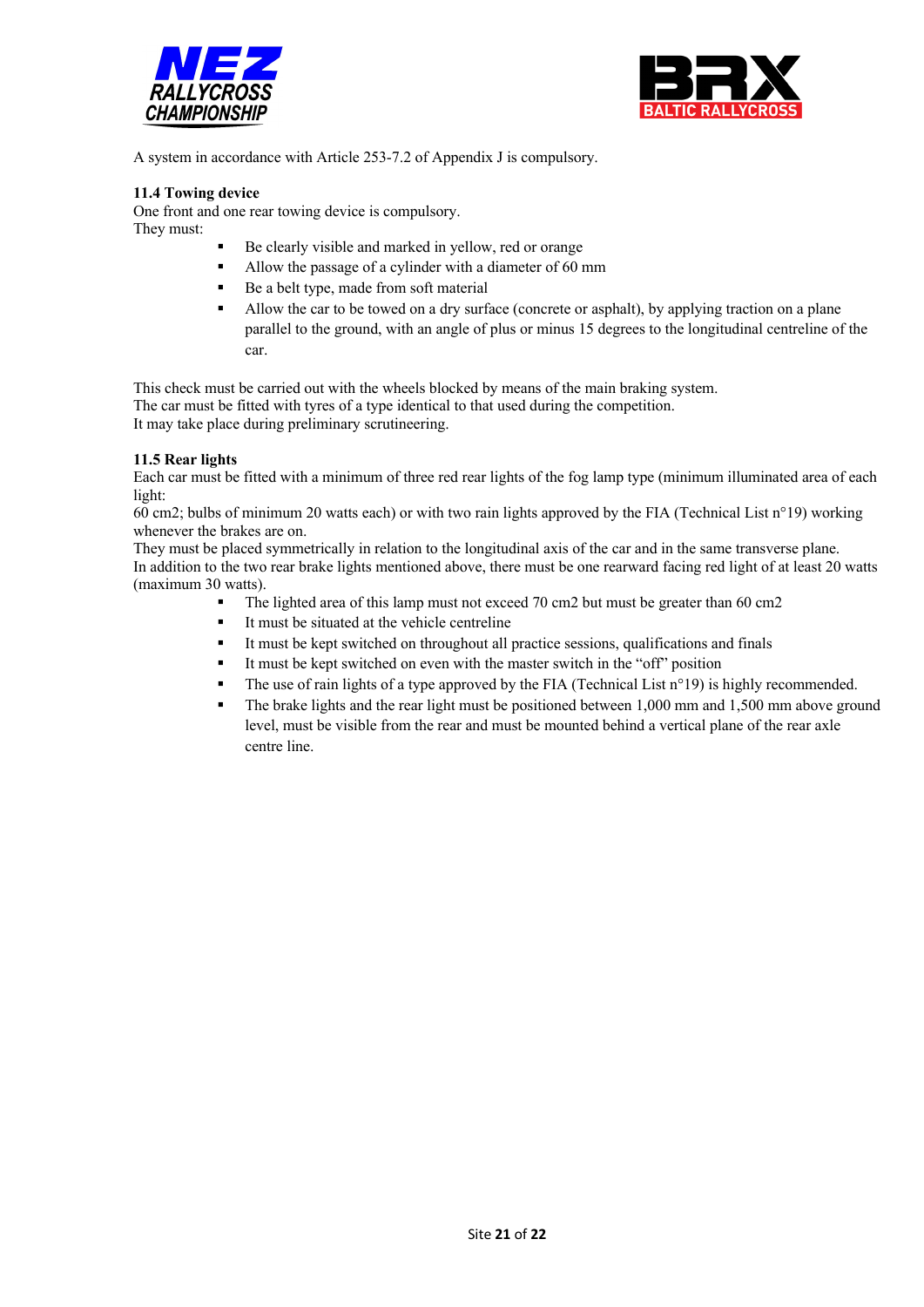



A system in accordance with Article 253-7.2 of Appendix J is compulsory.

#### **11.4 Towing device**

One front and one rear towing device is compulsory.

They must:

- Be clearly visible and marked in yellow, red or orange
- § Allow the passage of a cylinder with a diameter of 60 mm
- Be a belt type, made from soft material
- Allow the car to be towed on a dry surface (concrete or asphalt), by applying traction on a plane parallel to the ground, with an angle of plus or minus 15 degrees to the longitudinal centreline of the car.

This check must be carried out with the wheels blocked by means of the main braking system. The car must be fitted with tyres of a type identical to that used during the competition. It may take place during preliminary scrutineering.

#### **11.5 Rear lights**

Each car must be fitted with a minimum of three red rear lights of the fog lamp type (minimum illuminated area of each light:

60 cm2; bulbs of minimum 20 watts each) or with two rain lights approved by the FIA (Technical List n°19) working whenever the brakes are on.

They must be placed symmetrically in relation to the longitudinal axis of the car and in the same transverse plane. In addition to the two rear brake lights mentioned above, there must be one rearward facing red light of at least 20 watts (maximum 30 watts).

- The lighted area of this lamp must not exceed 70 cm2 but must be greater than 60 cm2
- It must be situated at the vehicle centreline
- It must be kept switched on throughout all practice sessions, qualifications and finals
- It must be kept switched on even with the master switch in the "off" position
- The use of rain lights of a type approved by the FIA (Technical List n°19) is highly recommended.
- The brake lights and the rear light must be positioned between 1,000 mm and 1,500 mm above ground level, must be visible from the rear and must be mounted behind a vertical plane of the rear axle centre line.